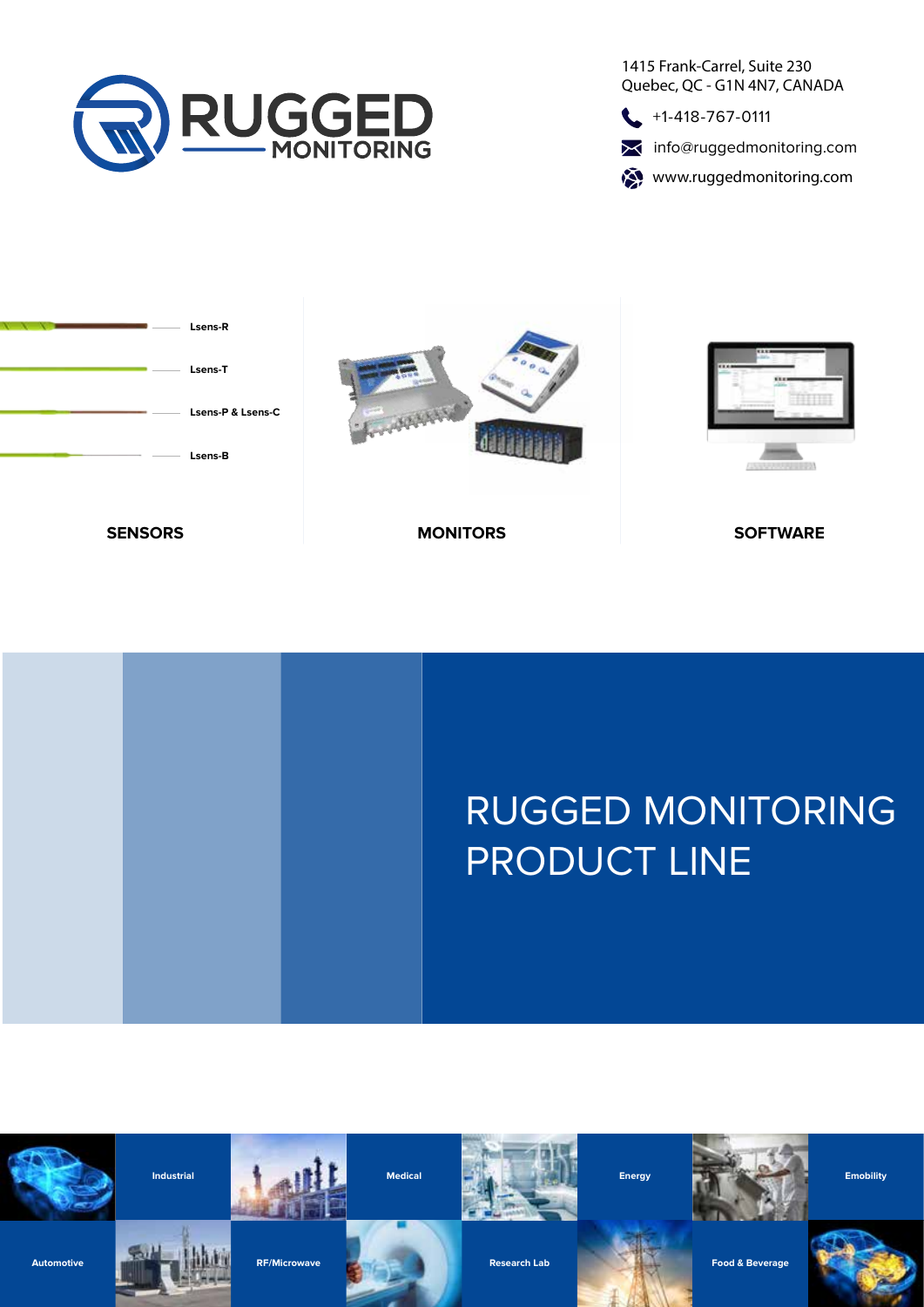

1415 Frank-Carrel, Suite 230 Quebec, QC - G1N 4N7, CANADA

 $\leftarrow$  +1-418-767-0111

**X** info@ruggedmonitoring.com

www.ruggedmonitoring.com





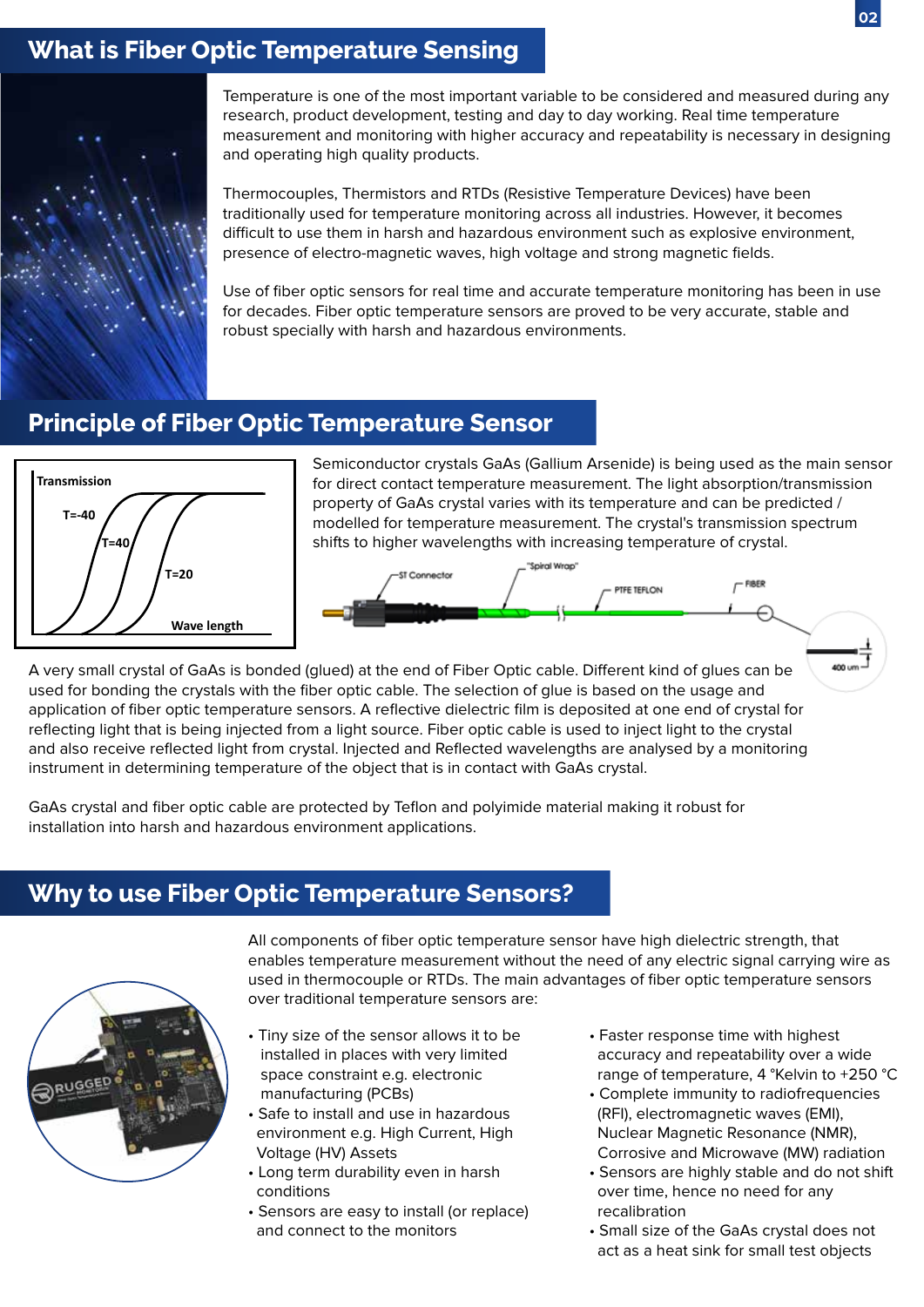## **What is Fiber Optic Temperature Sensing**



Temperature is one of the most important variable to be considered and measured during any research, product development, testing and day to day working. Real time temperature measurement and monitoring with higher accuracy and repeatability is necessary in designing and operating high quality products.

Thermocouples, Thermistors and RTDs (Resistive Temperature Devices) have been traditionally used for temperature monitoring across all industries. However, it becomes difficult to use them in harsh and hazardous environment such as explosive environment, presence of electro-magnetic waves, high voltage and strong magnetic fields.

Use of fiber optic sensors for real time and accurate temperature monitoring has been in use for decades. Fiber optic temperature sensors are proved to be very accurate, stable and robust specially with harsh and hazardous environments.

### **Principle of Fiber Optic Temperature Sensor**



Semiconductor crystals GaAs (Gallium Arsenide) is being used as the main sensor for direct contact temperature measurement. The light absorption/transmission property of GaAs crystal varies with its temperature and can be predicted / modelled for temperature measurement. The crystal's transmission spectrum shifts to higher wavelengths with increasing temperature of crystal.



A very small crystal of GaAs is bonded (glued) at the end of Fiber Optic cable. Different kind of glues can be used for bonding the crystals with the fiber optic cable. The selection of glue is based on the usage and application of fiber optic temperature sensors. A reflective dielectric film is deposited at one end of crystal for reflecting light that is being injected from a light source. Fiber optic cable is used to inject light to the crystal and also receive reflected light from crystal. Injected and Reflected wavelengths are analysed by a monitoring instrument in determining temperature of the object that is in contact with GaAs crystal.

GaAs crystal and fiber optic cable are protected by Teflon and polyimide material making it robust for installation into harsh and hazardous environment applications.

### **Why to use Fiber Optic Temperature Sensors?**



All components of fiber optic temperature sensor have high dielectric strength, that enables temperature measurement without the need of any electric signal carrying wire as used in thermocouple or RTDs. The main advantages of fiber optic temperature sensors over traditional temperature sensors are:

- Tiny size of the sensor allows it to be installed in places with very limited space constraint e.g. electronic manufacturing (PCBs)
- Safe to install and use in hazardous environment e.g. High Current, High Voltage (HV) Assets
- Long term durability even in harsh conditions
- Sensors are easy to install (or replace) and connect to the monitors
- Faster response time with highest accuracy and repeatability over a wide range of temperature, 4 °Kelvin to +250 °C
- Complete immunity to radiofrequencies (RFI), electromagnetic waves (EMI), Nuclear Magnetic Resonance (NMR), Corrosive and Microwave (MW) radiation
- Sensors are highly stable and do not shift over time, hence no need for any recalibration
- Small size of the GaAs crystal does not act as a heat sink for small test objects

**02**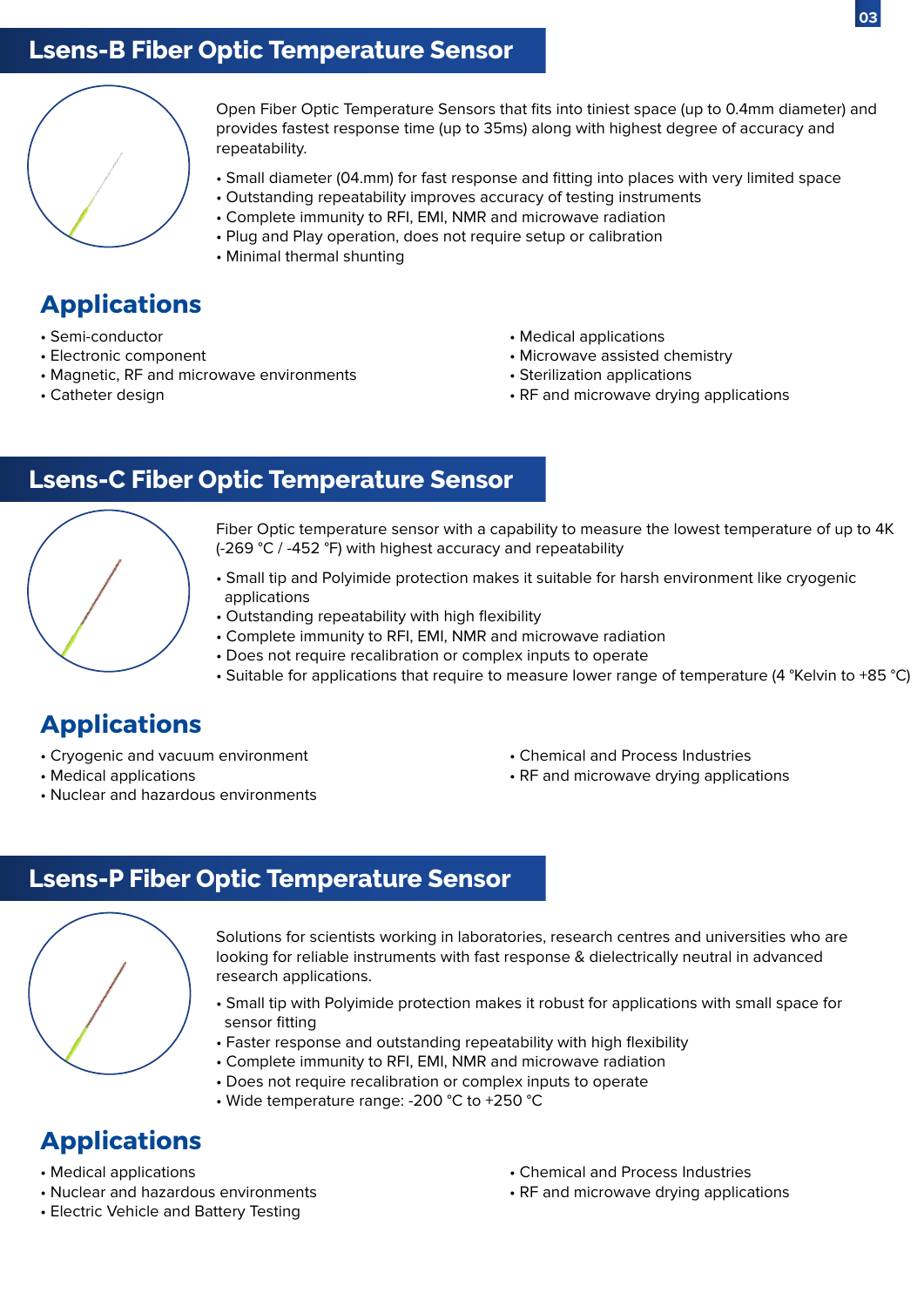## **Lsens-B Fiber Optic Temperature Sensor**



Open Fiber Optic Temperature Sensors that fits into tiniest space (up to 0.4mm diameter) and provides fastest response time (up to 35ms) along with highest degree of accuracy and repeatability.

- Small diameter (04.mm) for fast response and fitting into places with very limited space
- Outstanding repeatability improves accuracy of testing instruments
- Complete immunity to RFI, EMI, NMR and microwave radiation
- Plug and Play operation, does not require setup or calibration
- Minimal thermal shunting

## **Applications**

- Semi-conductor
- Electronic component
- Magnetic, RF and microwave environments
- Catheter design
- Medical applications
- Microwave assisted chemistry
- Sterilization applications
- RF and microwave drying applications

### **Lsens-C Fiber Optic Temperature Sensor**



Fiber Optic temperature sensor with a capability to measure the lowest temperature of up to 4K (-269 °C / -452 °F) with highest accuracy and repeatability

- Small tip and Polyimide protection makes it suitable for harsh environment like cryogenic applications
- Outstanding repeatability with high flexibility
- Complete immunity to RFI, EMI, NMR and microwave radiation
- Does not require recalibration or complex inputs to operate
- Suitable for applications that require to measure lower range of temperature (4 °Kelvin to +85 °C)

## **Applications**

- Cryogenic and vacuum environment
- Medical applications
- Nuclear and hazardous environments
- Chemical and Process Industries
- RF and microwave drying applications

### **Lsens-P Fiber Optic Temperature Sensor**



Solutions for scientists working in laboratories, research centres and universities who are looking for reliable instruments with fast response & dielectrically neutral in advanced research applications.

- Small tip with Polyimide protection makes it robust for applications with small space for sensor fitting
- Faster response and outstanding repeatability with high flexibility
- Complete immunity to RFI, EMI, NMR and microwave radiation
- Does not require recalibration or complex inputs to operate
- Wide temperature range: -200 °C to +250 °C

- Medical applications
- Nuclear and hazardous environments
- Electric Vehicle and Battery Testing
- Chemical and Process Industries
- RF and microwave drying applications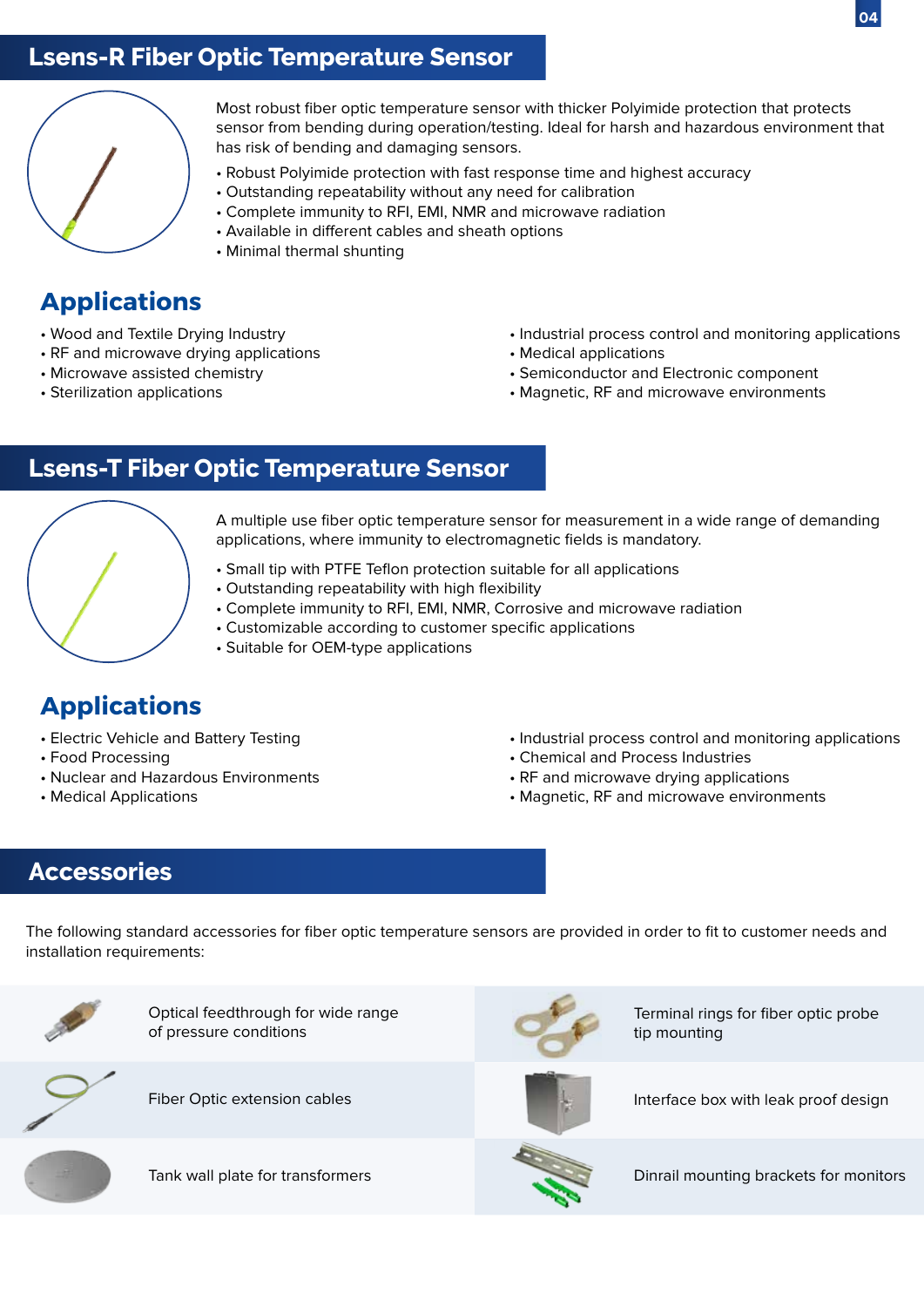## **Lsens-R Fiber Optic Temperature Sensor**



Most robust fiber optic temperature sensor with thicker Polyimide protection that protects sensor from bending during operation/testing. Ideal for harsh and hazardous environment that has risk of bending and damaging sensors.

- Robust Polyimide protection with fast response time and highest accuracy
- Outstanding repeatability without any need for calibration
- Complete immunity to RFI, EMI, NMR and microwave radiation
- Available in different cables and sheath options
- Minimal thermal shunting

## **Applications**

- Wood and Textile Drying Industry
- RF and microwave drying applications
- Microwave assisted chemistry
- Sterilization applications
- Industrial process control and monitoring applications
- Medical applications
- Semiconductor and Electronic component
- Magnetic, RF and microwave environments

## **Lsens-T Fiber Optic Temperature Sensor**



A multiple use fiber optic temperature sensor for measurement in a wide range of demanding applications, where immunity to electromagnetic fields is mandatory.

- Small tip with PTFE Teflon protection suitable for all applications
- Outstanding repeatability with high flexibility
- Complete immunity to RFI, EMI, NMR, Corrosive and microwave radiation
- Customizable according to customer specific applications
- Suitable for OEM-type applications

## **Applications**

- Electric Vehicle and Battery Testing
- Food Processing
- Nuclear and Hazardous Environments
- Medical Applications
- Industrial process control and monitoring applications
- Chemical and Process Industries
- RF and microwave drying applications
- Magnetic, RF and microwave environments

### **Accessories**

The following standard accessories for fiber optic temperature sensors are provided in order to fit to customer needs and installation requirements:



Optical feedthrough for wide range of pressure conditions



Terminal rings for fiber optic probe tip mounting



Fiber Optic extension cables



Interface box with leak proof design



Tank wall plate for transformers



Dinrail mounting brackets for monitors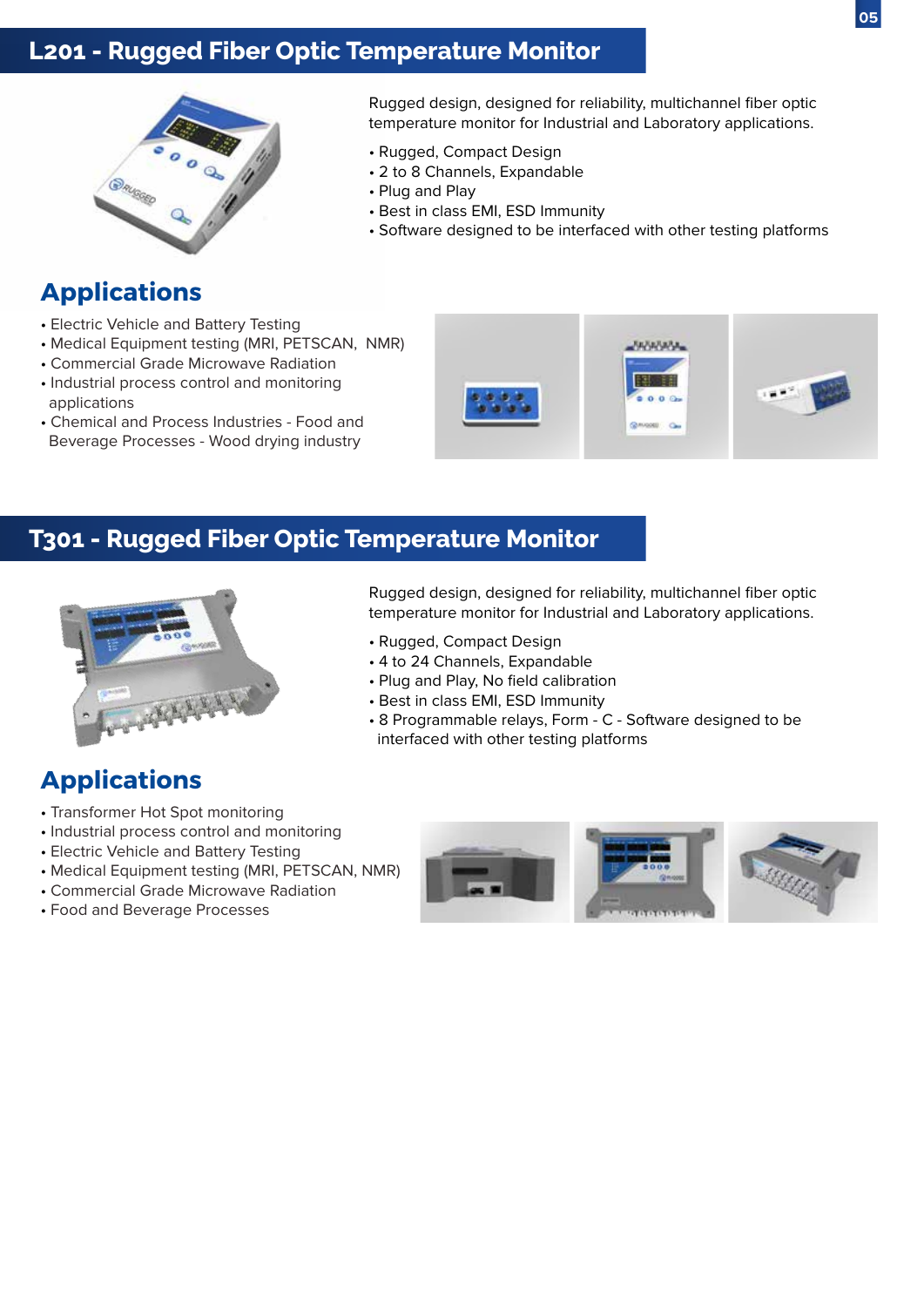## **L201 - Rugged Fiber Optic Temperature Monitor**



## **Applications**

- Electric Vehicle and Battery Testing
- Medical Equipment testing (MRI, PETSCAN, NMR)
- Commercial Grade Microwave Radiation
- Industrial process control and monitoring applications
- Chemical and Process Industries Food and Beverage Processes - Wood drying industry

Rugged design, designed for reliability, multichannel fiber optic temperature monitor for Industrial and Laboratory applications.

- Rugged, Compact Design
- 2 to 8 Channels, Expandable
- Plug and Play
- Best in class EMI, ESD Immunity
- Software designed to be interfaced with other testing platforms



### **T301 - Rugged Fiber Optic Temperature Monitor**



## **Applications**

- Transformer Hot Spot monitoring
- Industrial process control and monitoring
- Electric Vehicle and Battery Testing
- Medical Equipment testing (MRI, PETSCAN, NMR)
- Commercial Grade Microwave Radiation
- Food and Beverage Processes

Rugged design, designed for reliability, multichannel fiber optic temperature monitor for Industrial and Laboratory applications.

- Rugged, Compact Design
- 4 to 24 Channels, Expandable
- Plug and Play, No field calibration
- Best in class EMI, ESD Immunity
- 8 Programmable relays, Form C Software designed to be interfaced with other testing platforms

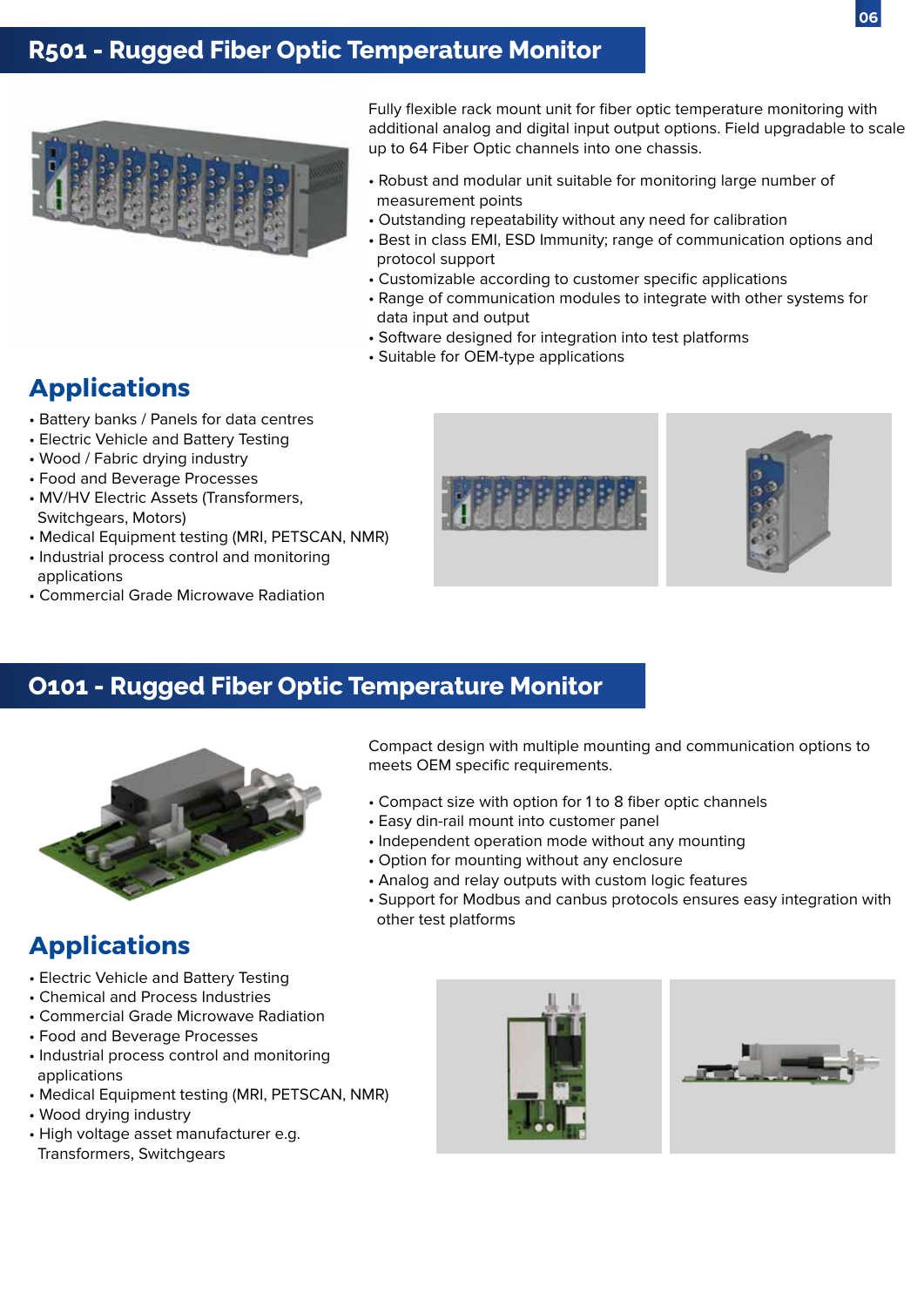

## **R501 - Rugged Fiber Optic Temperature Monitor**



Fully flexible rack mount unit for fiber optic temperature monitoring with additional analog and digital input output options. Field upgradable to scale up to 64 Fiber Optic channels into one chassis.

- Robust and modular unit suitable for monitoring large number of measurement points
- Outstanding repeatability without any need for calibration
- Best in class EMI, ESD Immunity; range of communication options and protocol support
- Customizable according to customer specific applications
- Range of communication modules to integrate with other systems for data input and output
- Software designed for integration into test platforms
- Suitable for OEM-type applications

### **Applications**

- Battery banks / Panels for data centres
- Electric Vehicle and Battery Testing
- Wood / Fabric drying industry
- Food and Beverage Processes
- MV/HV Electric Assets (Transformers, Switchgears, Motors)
- Medical Equipment testing (MRI, PETSCAN, NMR)
- Industrial process control and monitoring applications
- Commercial Grade Microwave Radiation





### **O101 - Rugged Fiber Optic Temperature Monitor**



## **Applications**

- Electric Vehicle and Battery Testing
- Chemical and Process Industries
- Commercial Grade Microwave Radiation
- Food and Beverage Processes
- Industrial process control and monitoring applications
- Medical Equipment testing (MRI, PETSCAN, NMR)
- Wood drying industry
- High voltage asset manufacturer e.g.
- Transformers, Switchgears

Compact design with multiple mounting and communication options to meets OEM specific requirements.

- Compact size with option for 1 to 8 fiber optic channels
- Easy din-rail mount into customer panel
- Independent operation mode without any mounting
- Option for mounting without any enclosure
- Analog and relay outputs with custom logic features
- Support for Modbus and canbus protocols ensures easy integration with other test platforms



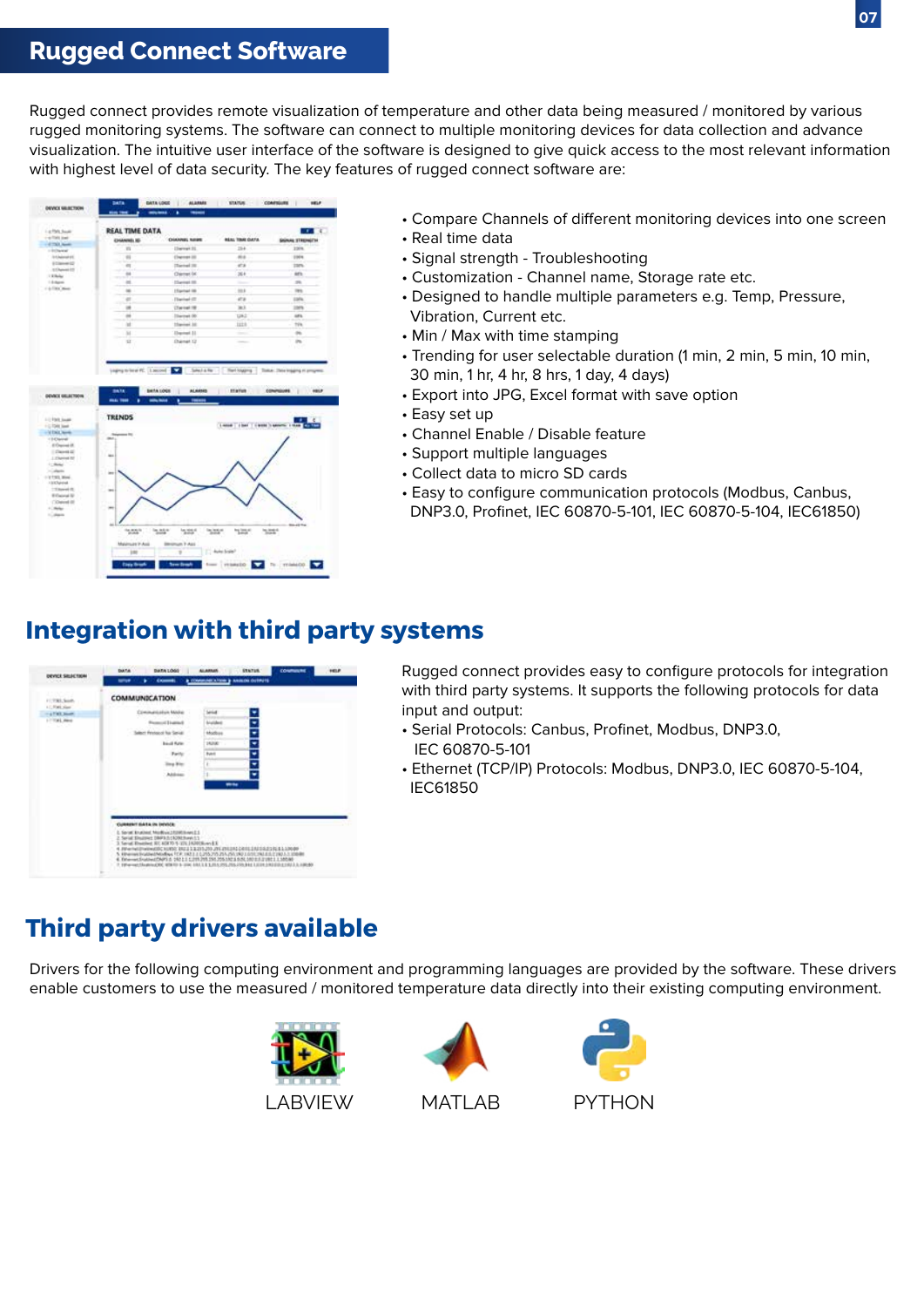## **Rugged Connect Software**

Rugged connect provides remote visualization of temperature and other data being measured / monitored by various rugged monitoring systems. The software can connect to multiple monitoring devices for data collection and advance visualization. The intuitive user interface of the software is designed to give quick access to the most relevant information with highest level of data security. The key features of rugged connect software are:



- Compare Channels of different monitoring devices into one screen
- Real time data
- Signal strength Troubleshooting
- Customization Channel name, Storage rate etc.
- Designed to handle multiple parameters e.g. Temp, Pressure, Vibration, Current etc.
- Min / Max with time stamping
- Trending for user selectable duration (1 min, 2 min, 5 min, 10 min, 30 min, 1 hr, 4 hr, 8 hrs, 1 day, 4 days)
- Export into JPG, Excel format with save option
- Easy set up
- Channel Enable / Disable feature
- Support multiple languages
- Collect data to micro SD cards
- Easy to configure communication protocols (Modbus, Canbus, DNP3.0, Profinet, IEC 60870-5-101, IEC 60870-5-104, IEC61850)

### **Integration with third party systems**



Rugged connect provides easy to configure protocols for integration with third party systems. It supports the following protocols for data input and output:

- Serial Protocols: Canbus, Profinet, Modbus, DNP3.0, IEC 60870-5-101
- Ethernet (TCP/IP) Protocols: Modbus, DNP3.0, IEC 60870-5-104, IEC61850

## **Third party drivers available**

Drivers for the following computing environment and programming languages are provided by the software. These drivers enable customers to use the measured / monitored temperature data directly into their existing computing environment.





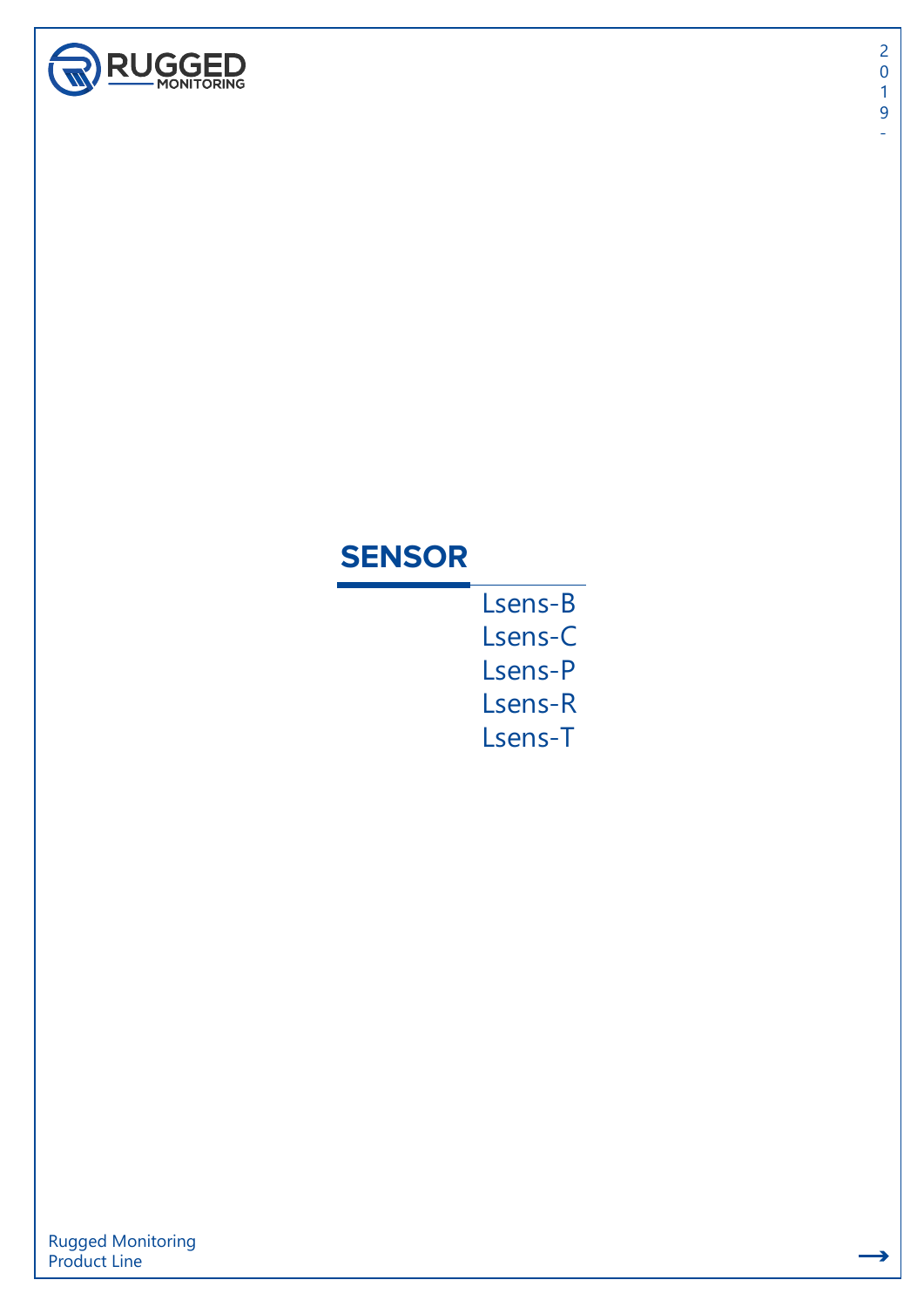

÷

## **SENSOR**

Lsens-B Lsens-C Lsens-P Lsens-R Lsens-T

Rugged Monitoring Product Line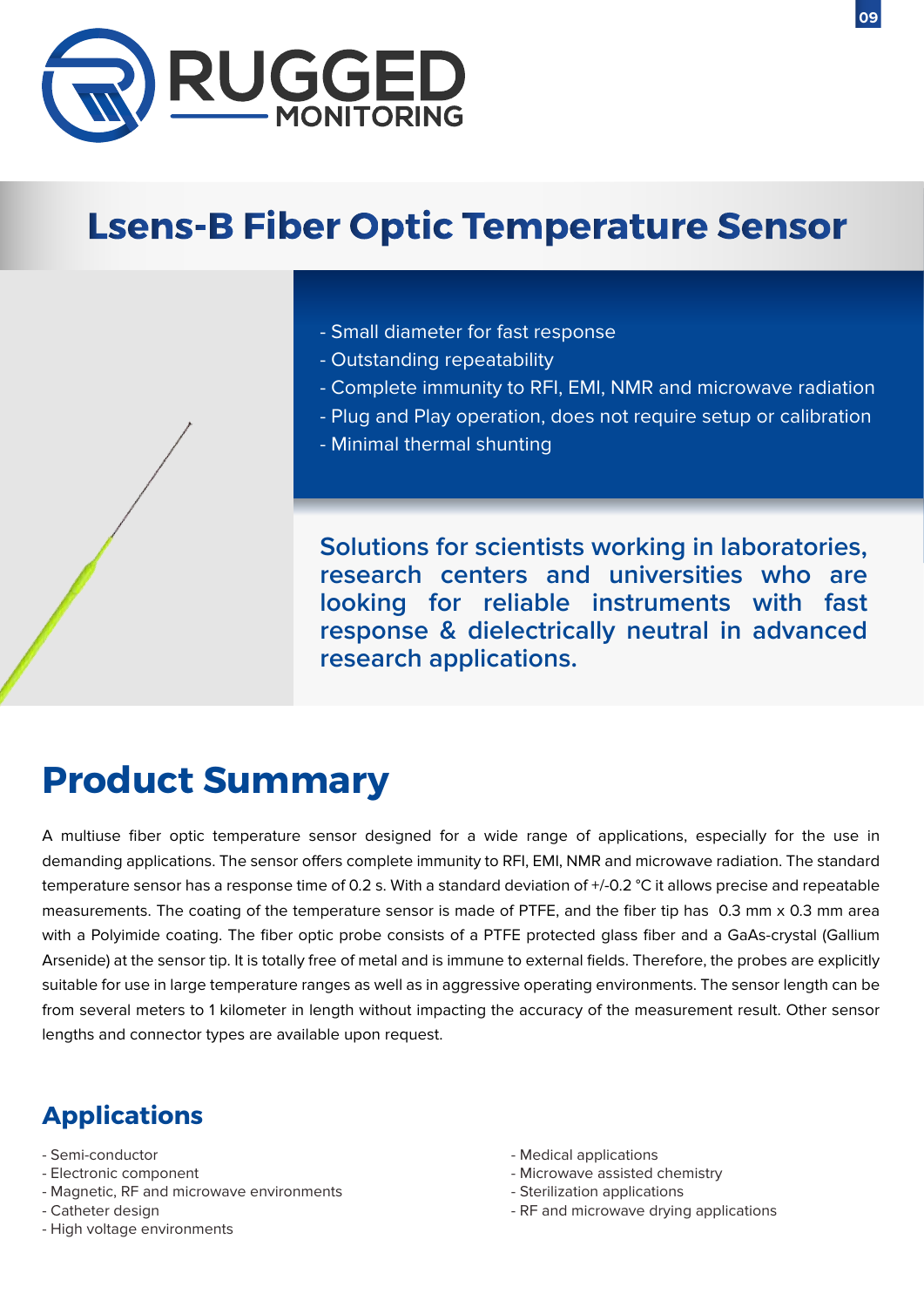

# **Lsens-B Fiber Optic Temperature Sensor**

- Small diameter for fast response
- Outstanding repeatability
- Complete immunity to RFI, EMI, NMR and microwave radiation
- Plug and Play operation, does not require setup or calibration
- Minimal thermal shunting

**Solutions for scientists working in laboratories, research centers and universities who are looking for reliable instruments with fast response & dielectrically neutral in advanced research applications.**

## **Product Summary**

A multiuse fiber optic temperature sensor designed for a wide range of applications, especially for the use in demanding applications. The sensor offers complete immunity to RFI, EMI, NMR and microwave radiation. The standard temperature sensor has a response time of 0.2 s. With a standard deviation of +/-0.2 °C it allows precise and repeatable measurements. The coating of the temperature sensor is made of PTFE, and the fiber tip has 0.3 mm x 0.3 mm area with a Polyimide coating. The fiber optic probe consists of a PTFE protected glass fiber and a GaAs-crystal (Gallium Arsenide) at the sensor tip. It is totally free of metal and is immune to external fields. Therefore, the probes are explicitly suitable for use in large temperature ranges as well as in aggressive operating environments. The sensor length can be from several meters to 1 kilometer in length without impacting the accuracy of the measurement result. Other sensor lengths and connector types are available upon request.

- Semi-conductor
- Electronic component
- Magnetic, RF and microwave environments
- Catheter design
- High voltage environments
- Medical applications
- Microwave assisted chemistry
- Sterilization applications
- RF and microwave drying applications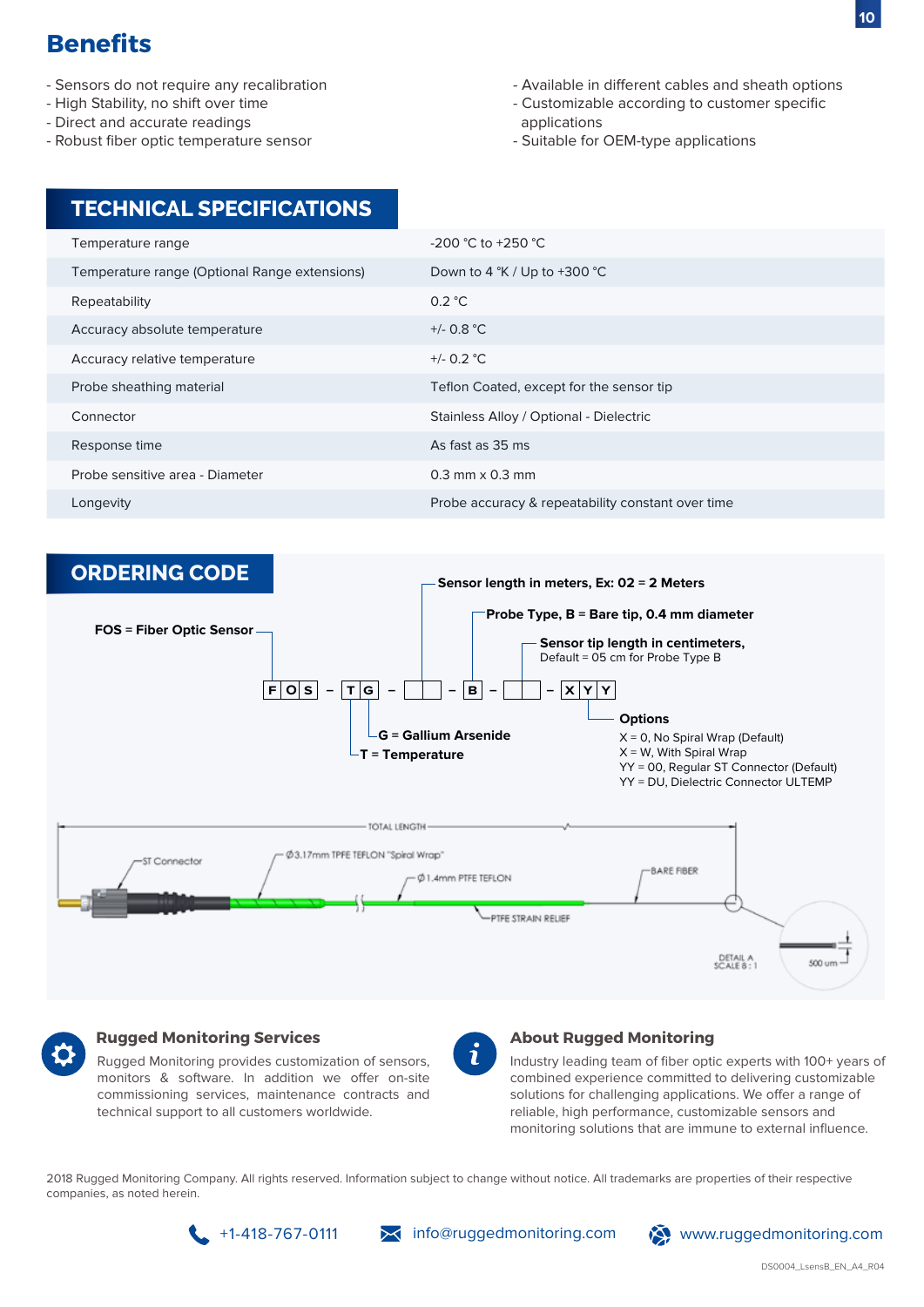- Sensors do not require any recalibration
- High Stability, no shift over time
- Direct and accurate readings
- Robust fiber optic temperature sensor
- Available in different cables and sheath options
- Customizable according to customer specific applications
- Suitable for OEM-type applications

| <b>TECHNICAL SPECIFICATIONS</b>               |                                                   |
|-----------------------------------------------|---------------------------------------------------|
| Temperature range                             | $-200$ °C to $+250$ °C                            |
| Temperature range (Optional Range extensions) | Down to 4 $\degree$ K / Up to +300 $\degree$ C    |
| Repeatability                                 | 0.2 °C                                            |
| Accuracy absolute temperature                 | +/- $0.8 °C$                                      |
| Accuracy relative temperature                 | +/- $0.2$ °C                                      |
| Probe sheathing material                      | Teflon Coated, except for the sensor tip          |
| Connector                                     | Stainless Alloy / Optional - Dielectric           |
| Response time                                 | As fast as 35 ms                                  |
| Probe sensitive area - Diameter               | $0.3$ mm $\times$ 0.3 mm                          |
| Longevity                                     | Probe accuracy & repeatability constant over time |





#### **Rugged Monitoring Services**

Rugged Monitoring provides customization of sensors, monitors & software. In addition we offer on-site commissioning services, maintenance contracts and technical support to all customers worldwide.



#### **About Rugged Monitoring**

Industry leading team of fiber optic experts with 100+ years of combined experience committed to delivering customizable solutions for challenging applications. We offer a range of reliable, high performance, customizable sensors and monitoring solutions that are immune to external influence.

2018 Rugged Monitoring Company. All rights reserved. Information subject to change without notice. All trademarks are properties of their respective companies, as noted herein.



 $\setminus$  info@ruggedmonitoring.com  $\setminus$  www.ruggedmonitoring.com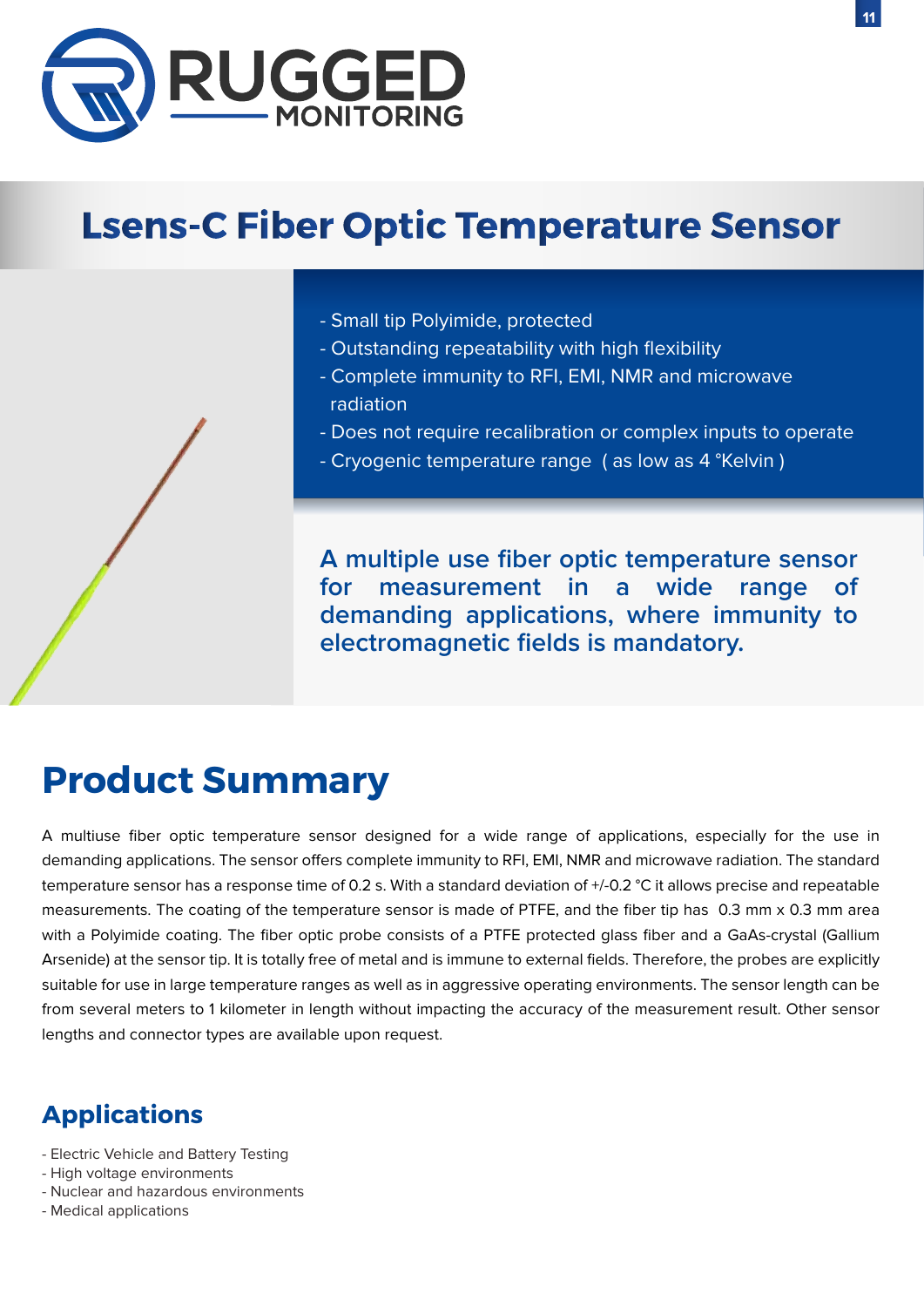

# **Lsens-C Fiber Optic Temperature Sensor**

- Small tip Polyimide, protected
- Outstanding repeatability with high flexibility
- Complete immunity to RFI, EMI, NMR and microwave radiation
- Does not require recalibration or complex inputs to operate
- Cryogenic temperature range ( as low as 4 °Kelvin )

**A multiple use fiber optic temperature sensor for measurement in a wide range of demanding applications, where immunity to electromagnetic fields is mandatory.**

# **Product Summary**

A multiuse fiber optic temperature sensor designed for a wide range of applications, especially for the use in demanding applications. The sensor offers complete immunity to RFI, EMI, NMR and microwave radiation. The standard temperature sensor has a response time of 0.2 s. With a standard deviation of +/-0.2 °C it allows precise and repeatable measurements. The coating of the temperature sensor is made of PTFE, and the fiber tip has 0.3 mm x 0.3 mm area with a Polyimide coating. The fiber optic probe consists of a PTFE protected glass fiber and a GaAs-crystal (Gallium Arsenide) at the sensor tip. It is totally free of metal and is immune to external fields. Therefore, the probes are explicitly suitable for use in large temperature ranges as well as in aggressive operating environments. The sensor length can be from several meters to 1 kilometer in length without impacting the accuracy of the measurement result. Other sensor lengths and connector types are available upon request.

- Electric Vehicle and Battery Testing
- High voltage environments
- Nuclear and hazardous environments
- Medical applications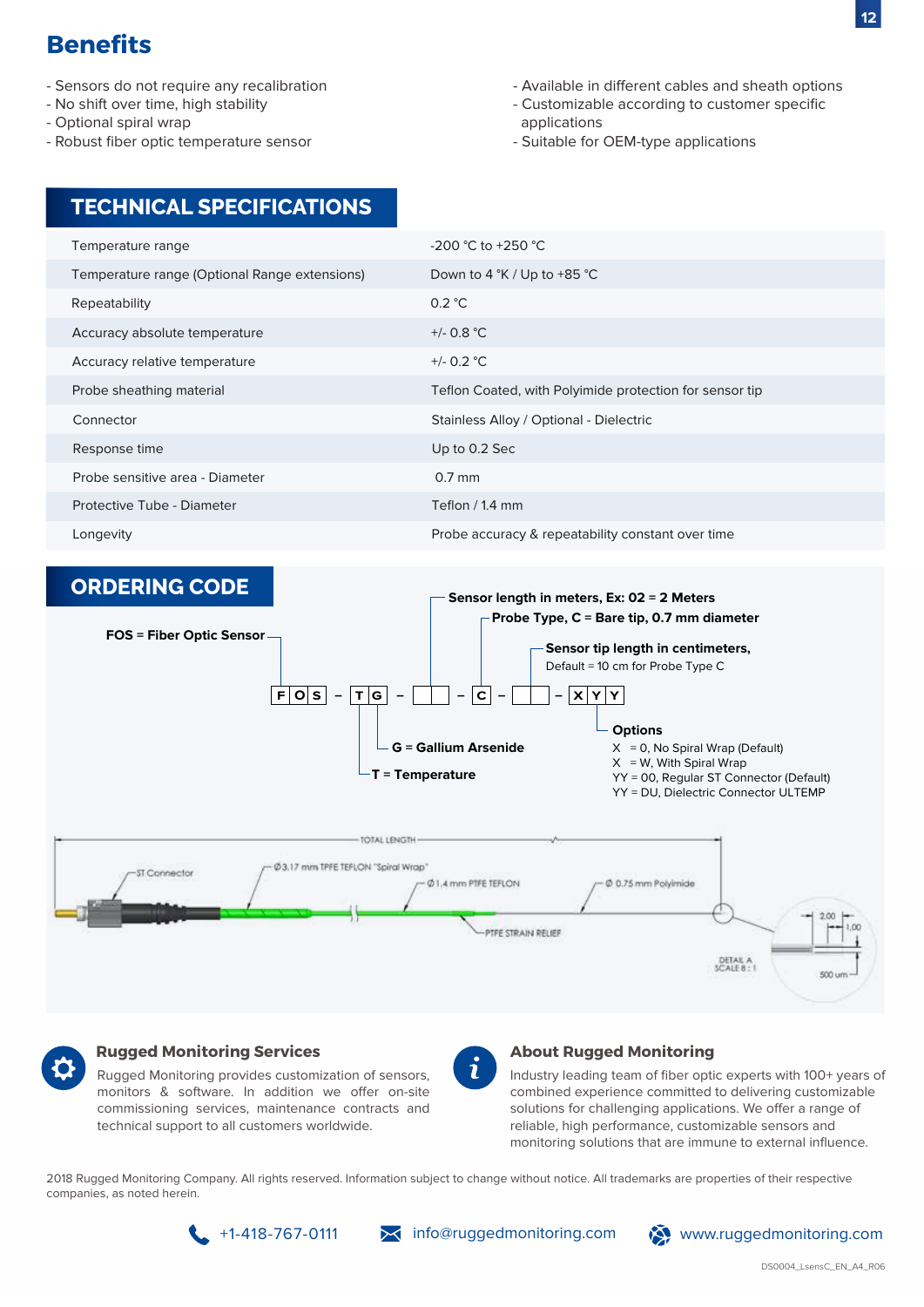- Sensors do not require any recalibration
- No shift over time, high stability
- Optional spiral wrap
- Robust fiber optic temperature sensor

**TECHNICAL SPECIFICATIONS**

- Available in different cables and sheath options
- Customizable according to customer specific applications
- Suitable for OEM-type applications

#### Temperature range Temperature range (Optional Range extensions) Repeatability Accuracy absolute temperature Accuracy relative temperature Probe sheathing material Connector Response time Probe sensitive area - Diameter -200 °C to +250 °C Down to 4 °K / Up to +85 °C 0.2 °C +/- 0.8 °C +/- 0.2 °C Teflon Coated, with Polyimide protection for sensor tip Stainless Alloy / Optional - Dielectric Up to 0.2 Sec Protective Tube - Diameter 0.7 mm Teflon / 1.4 mm Longevity **Alternative Constant over the Constant over time** Probe accuracy & repeatability constant over time





#### **Rugged Monitoring Services**

Rugged Monitoring provides customization of sensors, monitors & software. In addition we offer on-site commissioning services, maintenance contracts and technical support to all customers worldwide.

#### **About Rugged Monitoring**

Industry leading team of fiber optic experts with 100+ years of combined experience committed to delivering customizable solutions for challenging applications. We offer a range of reliable, high performance, customizable sensors and monitoring solutions that are immune to external influence.

2018 Rugged Monitoring Company. All rights reserved. Information subject to change without notice. All trademarks are properties of their respective companies, as noted herein.

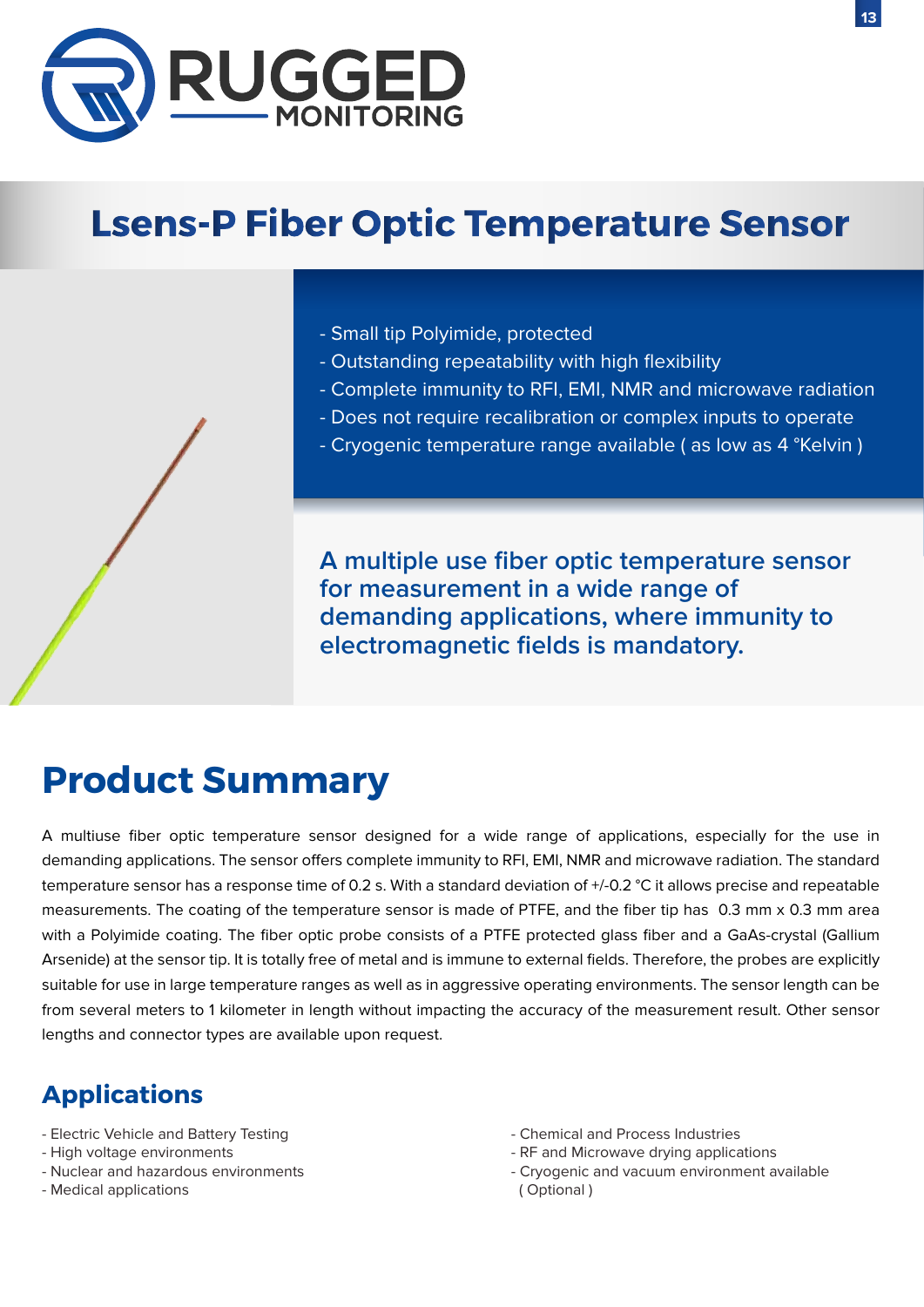

# **Lsens-P Fiber Optic Temperature Sensor**

- Small tip Polyimide, protected
- Outstanding repeatability with high flexibility
- Complete immunity to RFI, EMI, NMR and microwave radiation
- Does not require recalibration or complex inputs to operate
- Cryogenic temperature range available ( as low as 4 °Kelvin )

**A multiple use fiber optic temperature sensor for measurement in a wide range of demanding applications, where immunity to electromagnetic fields is mandatory.**

## **Product Summary**

A multiuse fiber optic temperature sensor designed for a wide range of applications, especially for the use in demanding applications. The sensor offers complete immunity to RFI, EMI, NMR and microwave radiation. The standard temperature sensor has a response time of 0.2 s. With a standard deviation of +/-0.2 °C it allows precise and repeatable measurements. The coating of the temperature sensor is made of PTFE, and the fiber tip has 0.3 mm x 0.3 mm area with a Polyimide coating. The fiber optic probe consists of a PTFE protected glass fiber and a GaAs-crystal (Gallium Arsenide) at the sensor tip. It is totally free of metal and is immune to external fields. Therefore, the probes are explicitly suitable for use in large temperature ranges as well as in aggressive operating environments. The sensor length can be from several meters to 1 kilometer in length without impacting the accuracy of the measurement result. Other sensor lengths and connector types are available upon request.

- Electric Vehicle and Battery Testing
- High voltage environments
- Nuclear and hazardous environments
- Medical applications
- Chemical and Process Industries
- RF and Microwave drying applications
- Cryogenic and vacuum environment available ( Optional )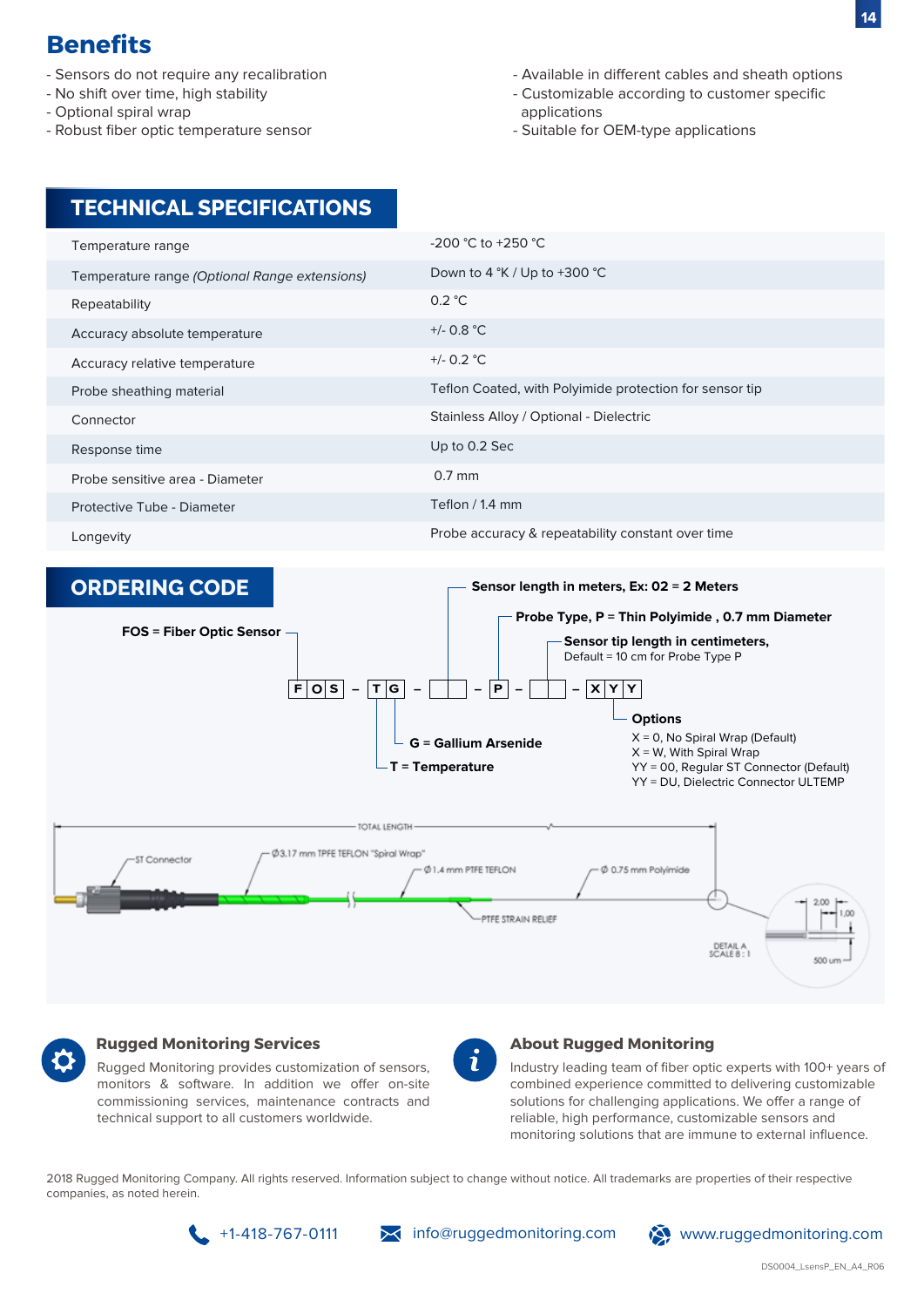- Sensors do not require any recalibration
- No shift over time, high stability
- Optional spiral wrap
- Robust fiber optic temperature sensor
- Available in different cables and sheath options
- Customizable according to customer specific applications
- Suitable for OEM-type applications

## **TECHNICAL SPECIFICATIONS**

| Temperature range                             | $-200$ °C to $+250$ °C                                  |
|-----------------------------------------------|---------------------------------------------------------|
| Temperature range (Optional Range extensions) | Down to 4 $\degree$ K / Up to +300 $\degree$ C          |
| Repeatability                                 | 0.2 °C                                                  |
| Accuracy absolute temperature                 | $+/- 0.8 °C$                                            |
| Accuracy relative temperature                 | +/- 0.2 $^{\circ}$ C                                    |
| Probe sheathing material                      | Teflon Coated, with Polyimide protection for sensor tip |
| Connector                                     | Stainless Alloy / Optional - Dielectric                 |
| Response time                                 | Up to 0.2 Sec                                           |
| Probe sensitive area - Diameter               | $0.7$ mm                                                |
| Protective Tube - Diameter                    | Teflon / 1.4 mm                                         |
| Longevity                                     | Probe accuracy & repeatability constant over time       |
|                                               |                                                         |





### **Rugged Monitoring Services**

Rugged Monitoring provides customization of sensors, monitors & software. In addition we offer on-site commissioning services, maintenance contracts and technical support to all customers worldwide.

#### **About Rugged Monitoring**

Industry leading team of fiber optic experts with 100+ years of combined experience committed to delivering customizable solutions for challenging applications. We offer a range of reliable, high performance, customizable sensors and monitoring solutions that are immune to external influence.

2018 Rugged Monitoring Company. All rights reserved. Information subject to change without notice. All trademarks are properties of their respective companies, as noted herein.

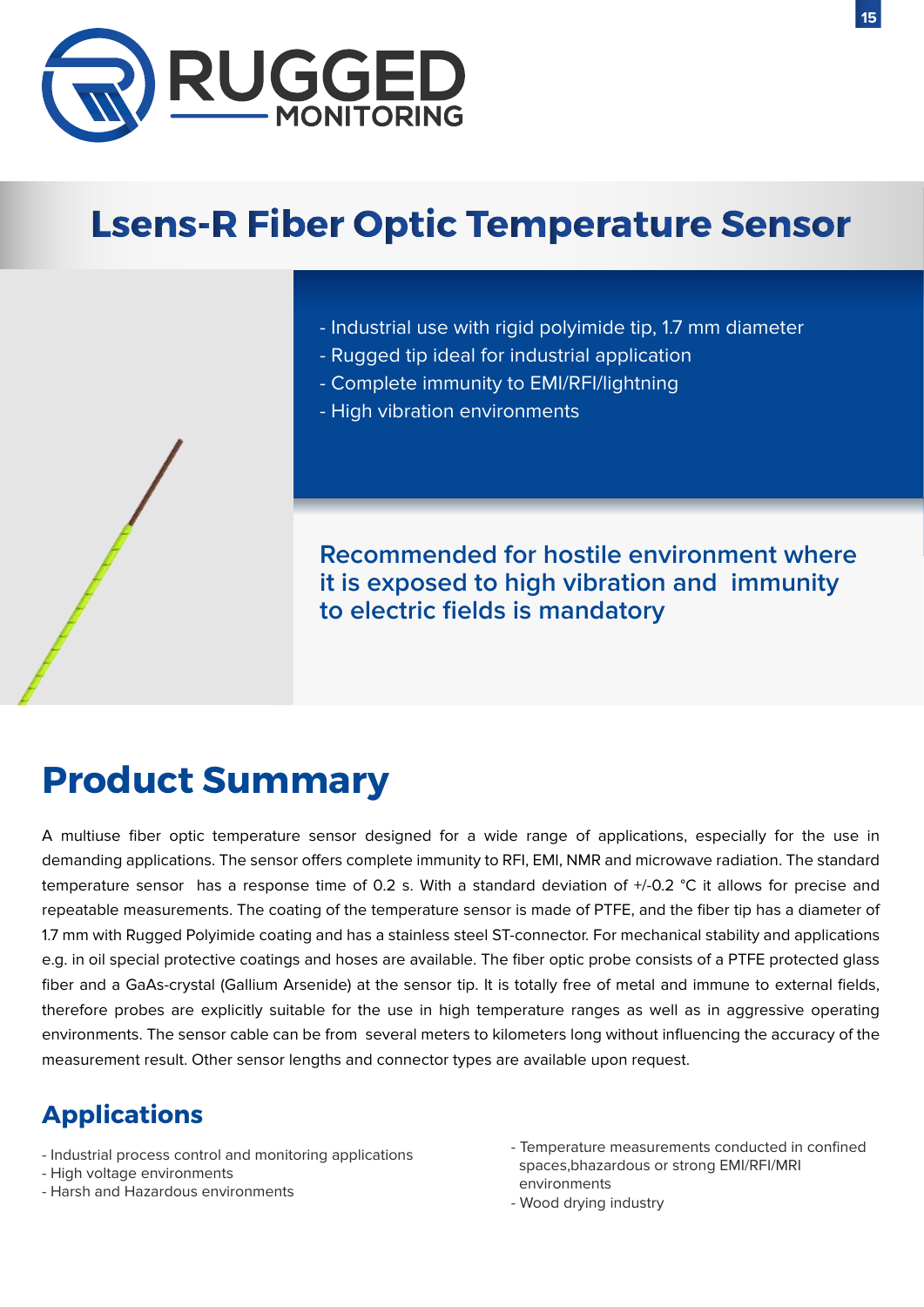

# **Lsens-R Fiber Optic Temperature Sensor**

- Industrial use with rigid polyimide tip, 1.7 mm diameter
- Rugged tip ideal for industrial application
- Complete immunity to EMI/RFI/lightning
- High vibration environments

**Recommended for hostile environment where it is exposed to high vibration and immunity to electric fields is mandatory**

# **Product Summary**

A multiuse fiber optic temperature sensor designed for a wide range of applications, especially for the use in demanding applications. The sensor offers complete immunity to RFI, EMI, NMR and microwave radiation. The standard temperature sensor has a response time of 0.2 s. With a standard deviation of +/-0.2 °C it allows for precise and repeatable measurements. The coating of the temperature sensor is made of PTFE, and the fiber tip has a diameter of 1.7 mm with Rugged Polyimide coating and has a stainless steel ST-connector. For mechanical stability and applications e.g. in oil special protective coatings and hoses are available. The fiber optic probe consists of a PTFE protected glass fiber and a GaAs-crystal (Gallium Arsenide) at the sensor tip. It is totally free of metal and immune to external fields, therefore probes are explicitly suitable for the use in high temperature ranges as well as in aggressive operating environments. The sensor cable can be from several meters to kilometers long without influencing the accuracy of the measurement result. Other sensor lengths and connector types are available upon request.

- Industrial process control and monitoring applications
- High voltage environments
- Harsh and Hazardous environments
- Temperature measurements conducted in confined spaces,bhazardous or strong EMI/RFI/MRI environments
- Wood drying industry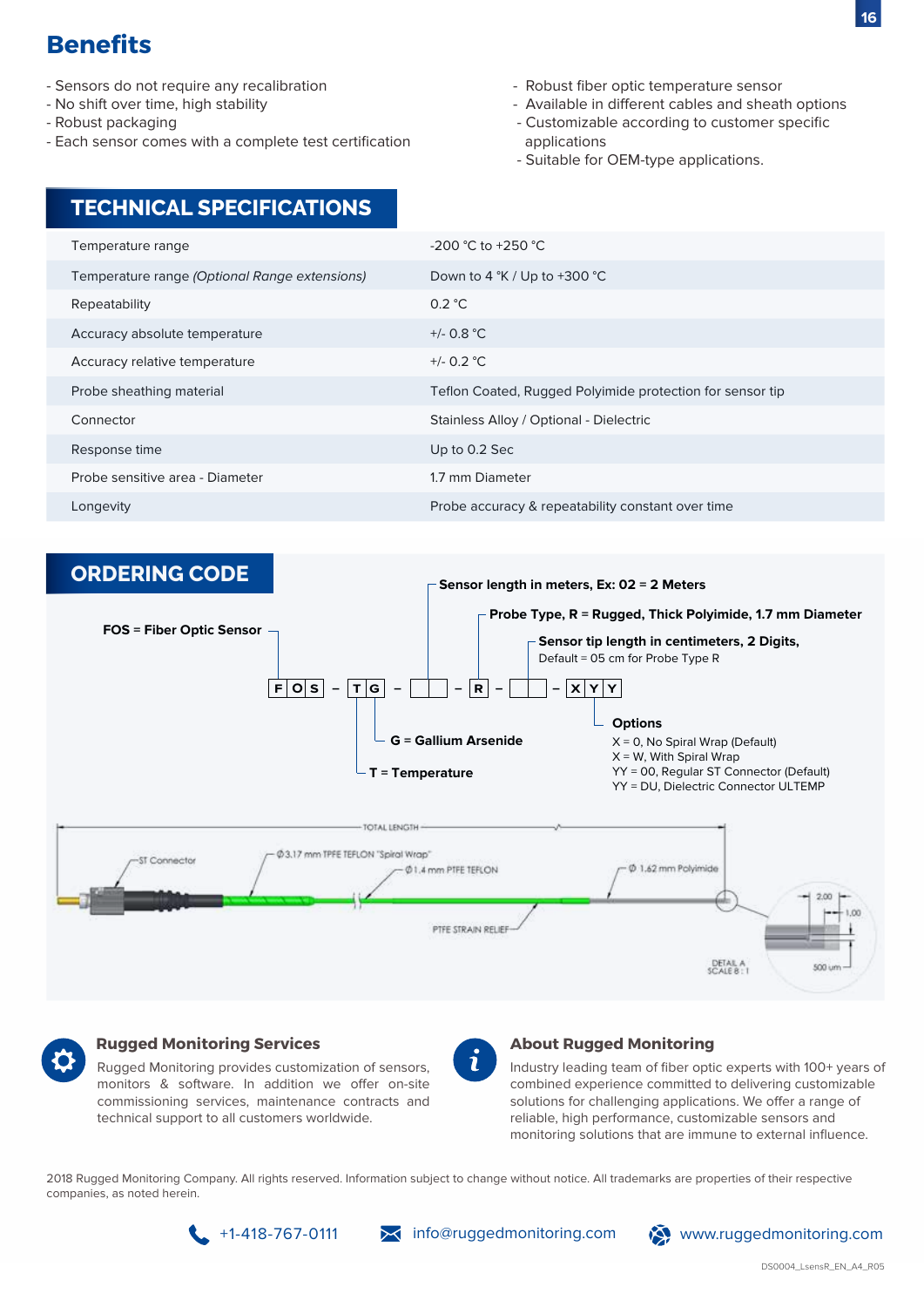- Sensors do not require any recalibration
- No shift over time, high stability
- Robust packaging
- Each sensor comes with a complete test certification
- Robust fiber optic temperature sensor
- Available in different cables and sheath options
- Customizable according to customer specific applications
- Suitable for OEM-type applications.

| <b>TECHNICAL SPECIFICATIONS</b> |
|---------------------------------|
|                                 |

| Temperature range                             | $-200$ °C to $+250$ °C                                    |
|-----------------------------------------------|-----------------------------------------------------------|
| Temperature range (Optional Range extensions) | Down to 4 $\degree$ K / Up to +300 $\degree$ C            |
| Repeatability                                 | 0.2 °C                                                    |
| Accuracy absolute temperature                 | $+/- 0.8 °C$                                              |
| Accuracy relative temperature                 | +/- $0.2$ °C                                              |
| Probe sheathing material                      | Teflon Coated, Rugged Polyimide protection for sensor tip |
| Connector                                     | Stainless Alloy / Optional - Dielectric                   |
| Response time                                 | Up to 0.2 Sec                                             |
| Probe sensitive area - Diameter               | 1.7 mm Diameter                                           |
| Longevity                                     | Probe accuracy & repeatability constant over time         |





#### **Rugged Monitoring Services**

Rugged Monitoring provides customization of sensors, monitors & software. In addition we offer on-site commissioning services, maintenance contracts and technical support to all customers worldwide.

#### **About Rugged Monitoring**

Industry leading team of fiber optic experts with 100+ years of combined experience committed to delivering customizable solutions for challenging applications. We offer a range of reliable, high performance, customizable sensors and monitoring solutions that are immune to external influence.

2018 Rugged Monitoring Company. All rights reserved. Information subject to change without notice. All trademarks are properties of their respective companies, as noted herein.

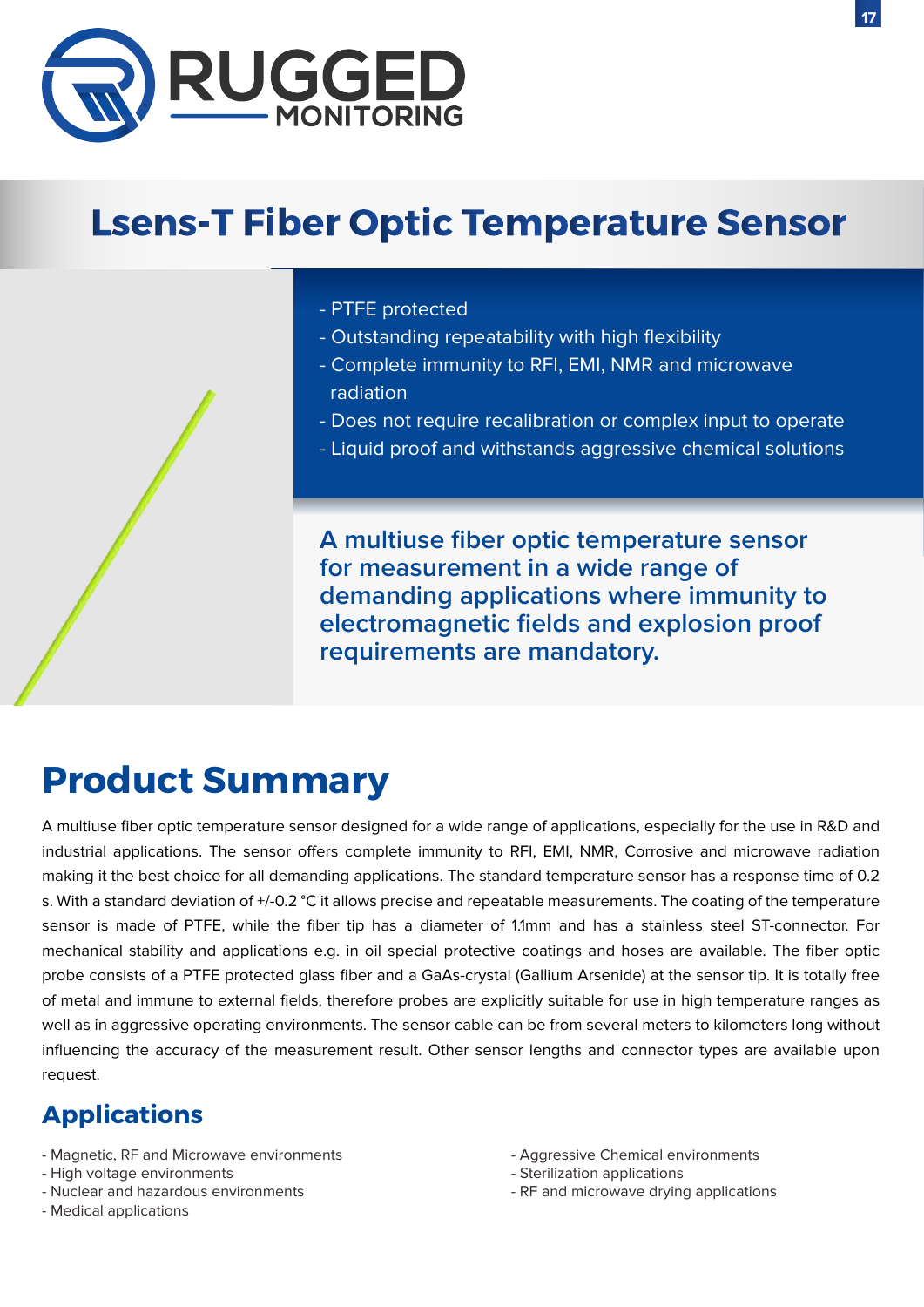

# **Lsens-T Fiber Optic Temperature Sensor**

- PTFE protected
- Outstanding repeatability with high flexibility
- Complete immunity to RFI, EMI, NMR and microwave radiation
- Does not require recalibration or complex input to operate
- Liquid proof and withstands aggressive chemical solutions

**A multiuse fiber optic temperature sensor for measurement in a wide range of demanding applications where immunity to electromagnetic fields and explosion proof requirements are mandatory.**

## **Product Summary**

A multiuse fiber optic temperature sensor designed for a wide range of applications, especially for the use in R&D and industrial applications. The sensor offers complete immunity to RFI, EMI, NMR, Corrosive and microwave radiation making it the best choice for all demanding applications. The standard temperature sensor has a response time of 0.2 s. With a standard deviation of +/-0.2 °C it allows precise and repeatable measurements. The coating of the temperature sensor is made of PTFE, while the fiber tip has a diameter of 1.1mm and has a stainless steel ST-connector. For mechanical stability and applications e.g. in oil special protective coatings and hoses are available. The fiber optic probe consists of a PTFE protected glass fiber and a GaAs-crystal (Gallium Arsenide) at the sensor tip. It is totally free of metal and immune to external fields, therefore probes are explicitly suitable for use in high temperature ranges as well as in aggressive operating environments. The sensor cable can be from several meters to kilometers long without influencing the accuracy of the measurement result. Other sensor lengths and connector types are available upon request.

- Magnetic, RF and Microwave environments
- High voltage environments
- Nuclear and hazardous environments
- Medical applications
- Aggressive Chemical environments
- Sterilization applications
- RF and microwave drying applications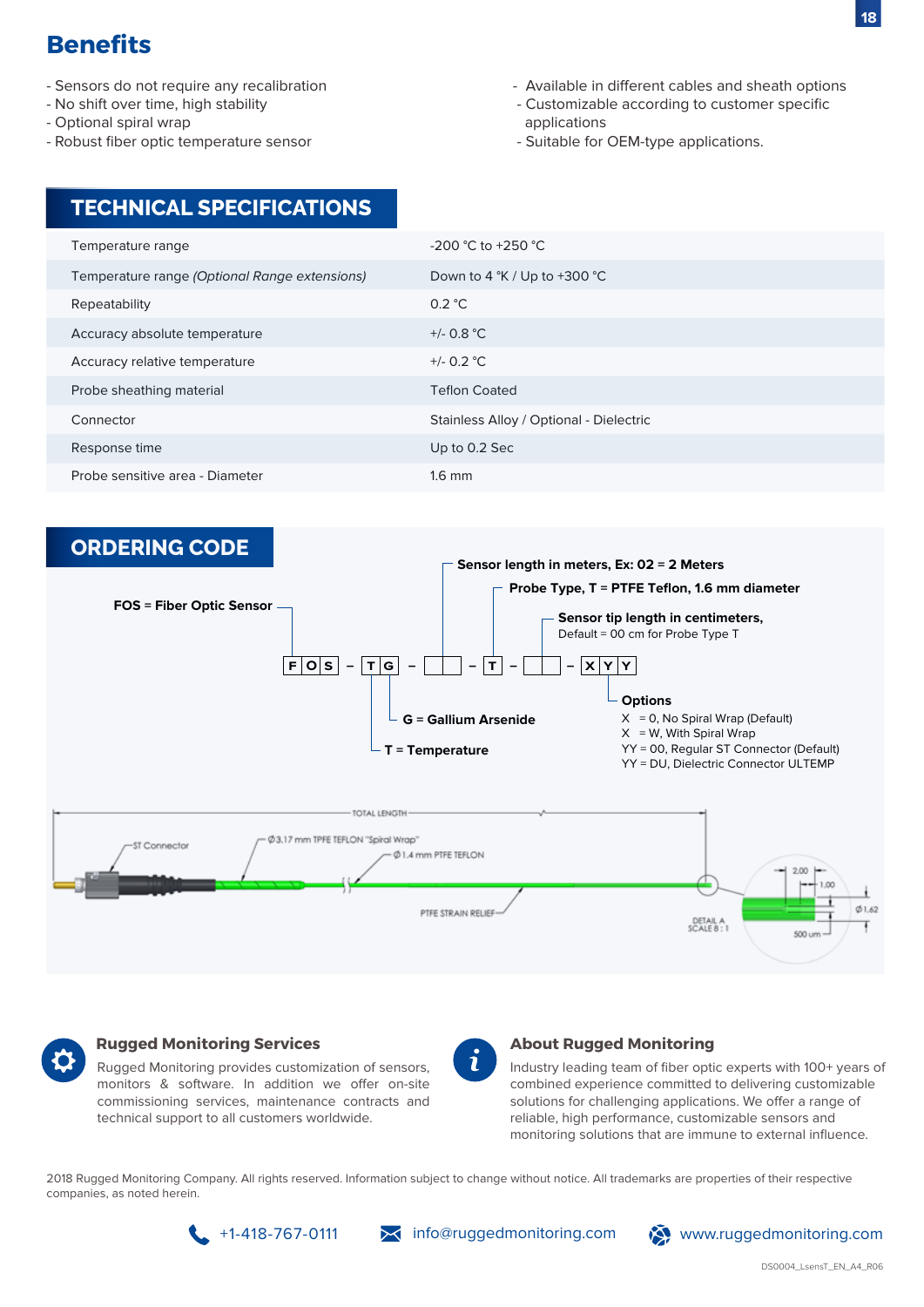- Sensors do not require any recalibration
- No shift over time, high stability
- Optional spiral wrap
- Robust fiber optic temperature sensor
- Available in different cables and sheath options
- Customizable according to customer specific applications
- Suitable for OEM-type applications.

### **TECHNICAL SPECIFICATIONS**

| $-200$ °C to $+250$ °C                         |
|------------------------------------------------|
| Down to 4 $\degree$ K / Up to +300 $\degree$ C |
| 0.2 °C                                         |
| $+/- 0.8 °C$                                   |
| +/- $0.2 °C$                                   |
| <b>Teflon Coated</b>                           |
| Stainless Alloy / Optional - Dielectric        |
| Up to 0.2 Sec                                  |
| $1.6$ mm                                       |
|                                                |





#### **Rugged Monitoring Services**

Rugged Monitoring provides customization of sensors, monitors & software. In addition we offer on-site commissioning services, maintenance contracts and technical support to all customers worldwide.

#### **About Rugged Monitoring**

Industry leading team of fiber optic experts with 100+ years of combined experience committed to delivering customizable solutions for challenging applications. We offer a range of reliable, high performance, customizable sensors and monitoring solutions that are immune to external influence.

2018 Rugged Monitoring Company. All rights reserved. Information subject to change without notice. All trademarks are properties of their respective companies, as noted herein.

+1-418-767-0111 info@ruggedmonitoring.com www.ruggedmonitoring.com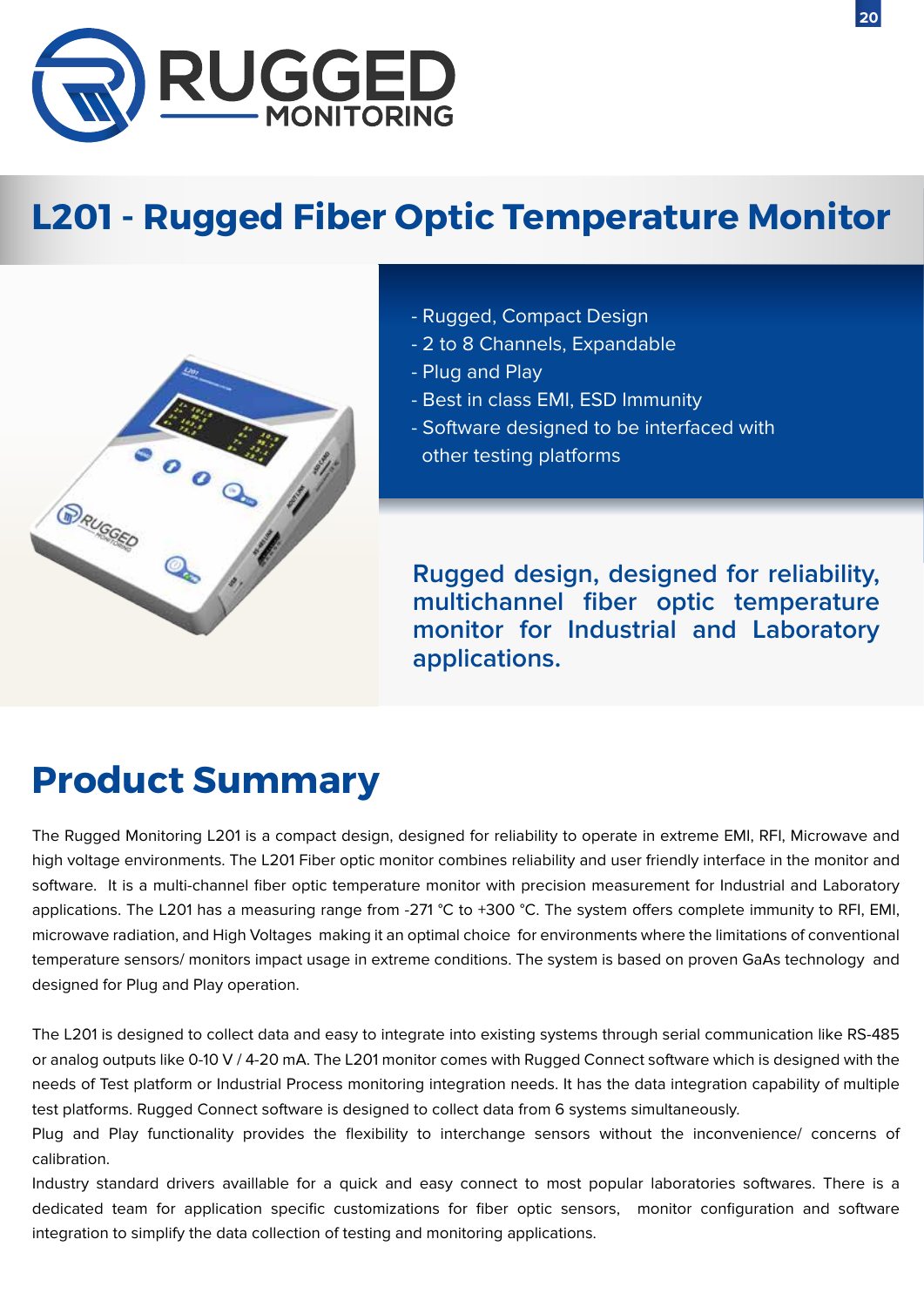

# **L201 - Rugged Fiber Optic Temperature Monitor**



- Rugged, Compact Design
- 2 to 8 Channels, Expandable
- Plug and Play
- Best in class EMI, ESD Immunity
- Software designed to be interfaced with
	- other testing platforms

**Rugged design, designed for reliability, multichannel fiber optic temperature monitor for Industrial and Laboratory applications.**

# **Product Summary**

The Rugged Monitoring L201 is a compact design, designed for reliability to operate in extreme EMI, RFI, Microwave and high voltage environments. The L201 Fiber optic monitor combines reliability and user friendly interface in the monitor and software. It is a multi-channel fiber optic temperature monitor with precision measurement for Industrial and Laboratory applications. The L201 has a measuring range from -271  $\degree$ C to +300  $\degree$ C. The system offers complete immunity to RFI, EMI, microwave radiation, and High Voltages making it an optimal choice for environments where the limitations of conventional temperature sensors/ monitors impact usage in extreme conditions. The system is based on proven GaAs technology and designed for Plug and Play operation.

The L201 is designed to collect data and easy to integrate into existing systems through serial communication like RS-485 or analog outputs like 0-10 V / 4-20 mA. The L201 monitor comes with Rugged Connect software which is designed with the needs of Test platform or Industrial Process monitoring integration needs. It has the data integration capability of multiple test platforms. Rugged Connect software is designed to collect data from 6 systems simultaneously.

Plug and Play functionality provides the flexibility to interchange sensors without the inconvenience/ concerns of calibration.

Industry standard drivers availlable for a quick and easy connect to most popular laboratories softwares. There is a dedicated team for application specific customizations for fiber optic sensors, monitor configuration and software integration to simplify the data collection of testing and monitoring applications.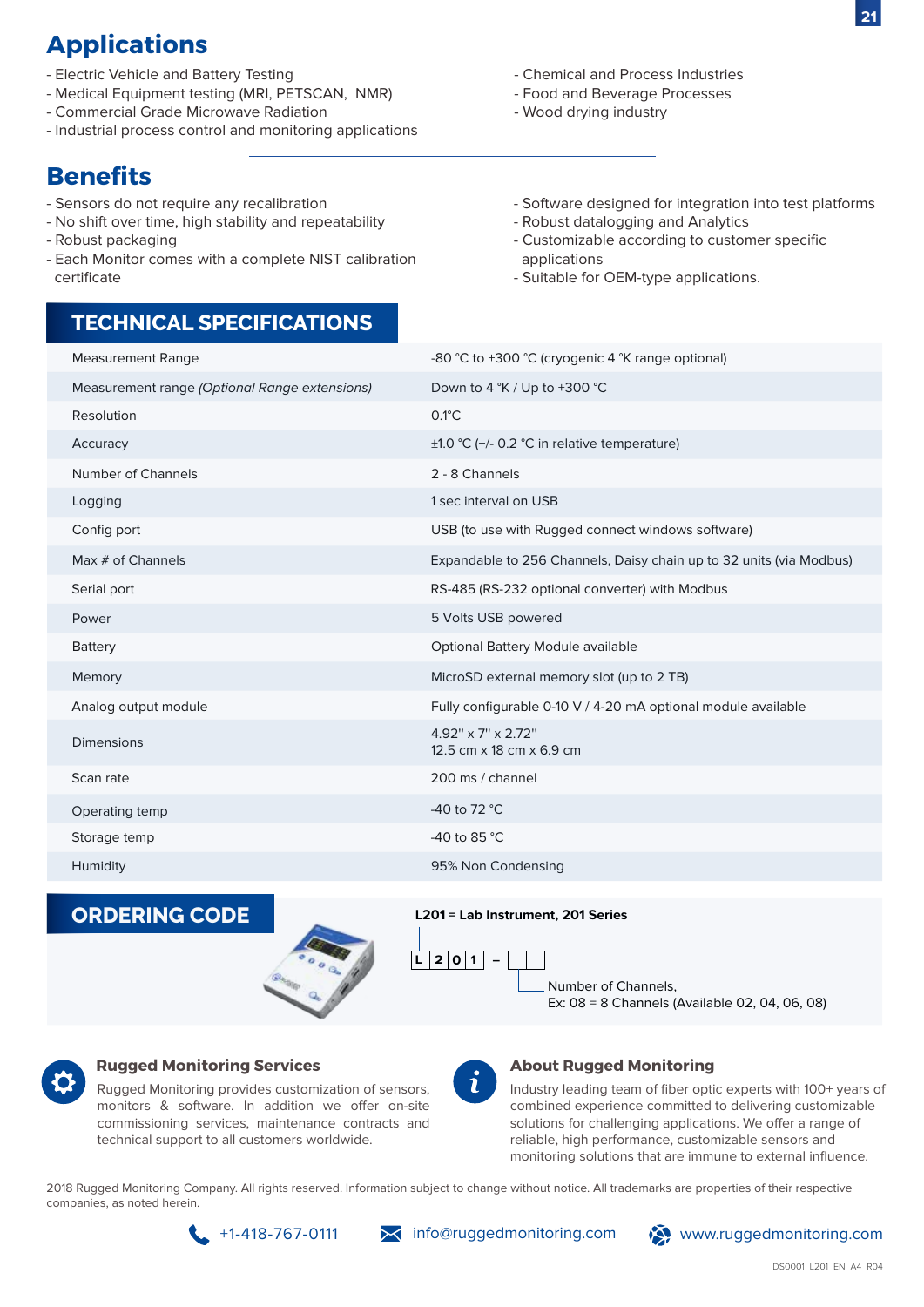## **Applications**

- Electric Vehicle and Battery Testing
- Medical Equipment testing (MRI, PETSCAN, NMR)
- Commercial Grade Microwave Radiation
- Industrial process control and monitoring applications

## **Benefits**

- Sensors do not require any recalibration
- No shift over time, high stability and repeatability
- Robust packaging
- Each Monitor comes with a complete NIST calibration certificate
- Chemical and Process Industries
- Food and Beverage Processes
- Wood drying industry

- Software designed for integration into test platforms
- Robust datalogging and Analytics
- Customizable according to customer specific applications
- Suitable for OEM-type applications.

### **TECHNICAL SPECIFICATIONS**

| <b>Measurement Range</b>                      | -80 °C to +300 °C (cryogenic 4 °K range optional)                   |
|-----------------------------------------------|---------------------------------------------------------------------|
| Measurement range (Optional Range extensions) | Down to 4 °K / Up to +300 °C                                        |
| Resolution                                    | $0.1^{\circ}$ C                                                     |
| Accuracy                                      | $\pm$ 1.0 °C (+/- 0.2 °C in relative temperature)                   |
| <b>Number of Channels</b>                     | 2 - 8 Channels                                                      |
| Logging                                       | 1 sec interval on USB                                               |
| Config port                                   | USB (to use with Rugged connect windows software)                   |
| Max # of Channels                             | Expandable to 256 Channels, Daisy chain up to 32 units (via Modbus) |
| Serial port                                   | RS-485 (RS-232 optional converter) with Modbus                      |
| Power                                         | 5 Volts USB powered                                                 |
| <b>Battery</b>                                | Optional Battery Module available                                   |
| Memory                                        | MicroSD external memory slot (up to 2 TB)                           |
| Analog output module                          | Fully configurable 0-10 V / 4-20 mA optional module available       |
| <b>Dimensions</b>                             | $4.92$ " x 7" x 2.72"<br>12.5 cm x 18 cm x 6.9 cm                   |
| Scan rate                                     | 200 ms / channel                                                    |
| Operating temp                                | -40 to 72 $^{\circ}$ C                                              |
| Storage temp                                  | -40 to 85 °C                                                        |
| Humidity                                      | 95% Non Condensing                                                  |





**L201 = Lab Instrument, 201 Series**



Number of Channels, Ex: 08 = 8 Channels (Available 02, 04, 06, 08)



#### **Rugged Monitoring Services**

Rugged Monitoring provides customization of sensors, monitors & software. In addition we offer on-site commissioning services, maintenance contracts and technical support to all customers worldwide.



#### **About Rugged Monitoring**

Industry leading team of fiber optic experts with 100+ years of combined experience committed to delivering customizable solutions for challenging applications. We offer a range of reliable, high performance, customizable sensors and monitoring solutions that are immune to external influence.

2018 Rugged Monitoring Company. All rights reserved. Information subject to change without notice. All trademarks are properties of their respective companies, as noted herein.



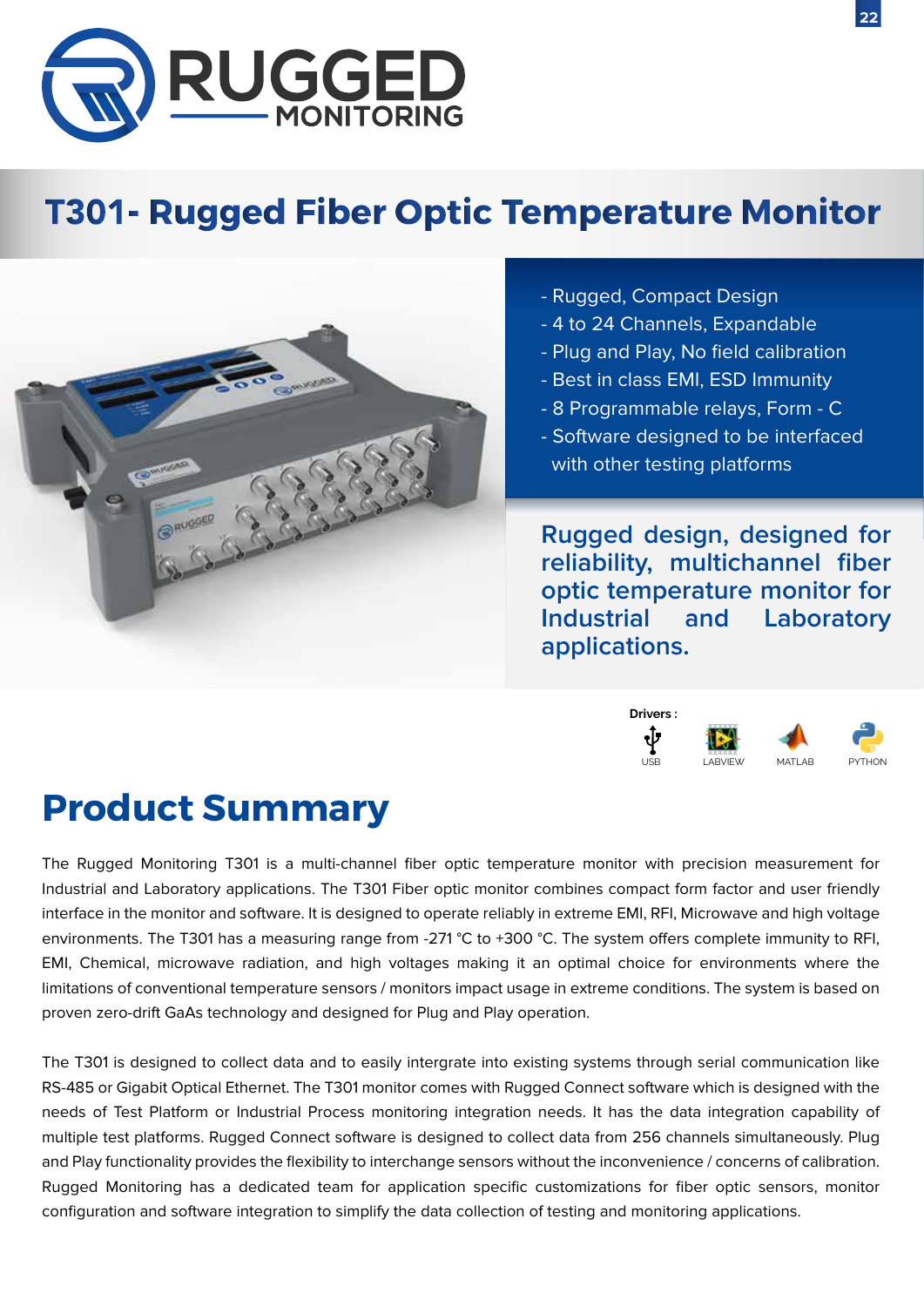

# **T301- Rugged Fiber Optic Temperature Monitor**



- Rugged, Compact Design
- 4 to 24 Channels, Expandable
- Plug and Play, No field calibration
- Best in class EMI, ESD Immunity
- 8 Programmable relays, Form C
- Software designed to be interfaced with other testing platforms

**Rugged design, designed for reliability, multichannel fiber optic temperature monitor for Industrial and Laboratory applications.**



# **Product Summary**

The Rugged Monitoring T301 is a multi-channel fiber optic temperature monitor with precision measurement for Industrial and Laboratory applications. The T301 Fiber optic monitor combines compact form factor and user friendly interface in the monitor and software. It is designed to operate reliably in extreme EMI, RFI, Microwave and high voltage environments. The T301 has a measuring range from -271 °C to +300 °C. The system offers complete immunity to RFI, EMI, Chemical, microwave radiation, and high voltages making it an optimal choice for environments where the limitations of conventional temperature sensors / monitors impact usage in extreme conditions. The system is based on proven zero-drift GaAs technology and designed for Plug and Play operation.

The T301 is designed to collect data and to easily intergrate into existing systems through serial communication like RS-485 or Gigabit Optical Ethernet. The T301 monitor comes with Rugged Connect software which is designed with the needs of Test Platform or Industrial Process monitoring integration needs. It has the data integration capability of multiple test platforms. Rugged Connect software is designed to collect data from 256 channels simultaneously. Plug and Play functionality provides the flexibility to interchange sensors without the inconvenience / concerns of calibration. Rugged Monitoring has a dedicated team for application specific customizations for fiber optic sensors, monitor configuration and software integration to simplify the data collection of testing and monitoring applications.